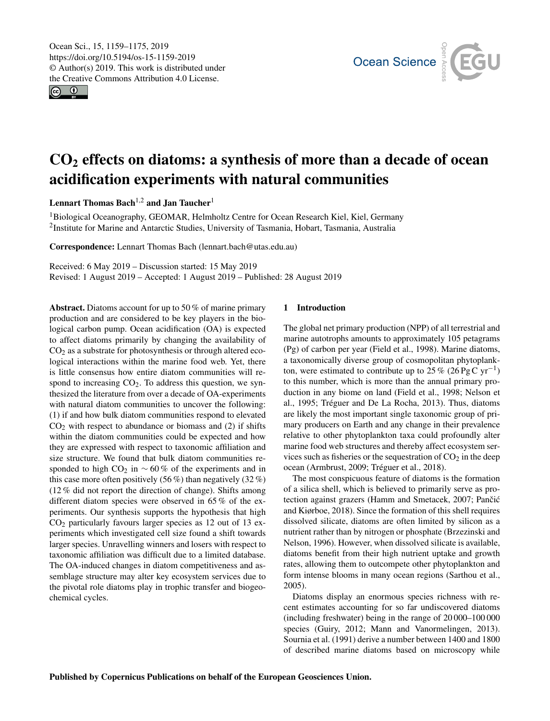<span id="page-0-1"></span>Ocean Sci., 15, 1159–1175, 2019 https://doi.org/10.5194/os-15-1159-2019 © Author(s) 2019. This work is distributed under the Creative Commons Attribution 4.0 License.

 $\circ$   $\circ$ 



# CO<sup>2</sup> effects on diatoms: a synthesis of more than a decade of ocean acidification experiments with natural communities

Lennart Thomas Bach<sup>[1,2](#page-0-0)</sup> and Jan Taucher<sup>[1](#page-0-0)</sup>

<sup>1</sup>Biological Oceanography, GEOMAR, Helmholtz Centre for Ocean Research Kiel, Kiel, Germany 2 Institute for Marine and Antarctic Studies, University of Tasmania, Hobart, Tasmania, Australia

Correspondence: Lennart Thomas Bach (lennart.bach@utas.edu.au)

Received: 6 May 2019 – Discussion started: 15 May 2019

Revised: 1 August 2019 – Accepted: 1 August 2019 – Published: 28 August 2019

<span id="page-0-0"></span>Abstract. Diatoms account for up to 50 % of marine primary production and are considered to be key players in the biological carbon pump. Ocean acidification (OA) is expected to affect diatoms primarily by changing the availability of  $CO<sub>2</sub>$  as a substrate for photosynthesis or through altered ecological interactions within the marine food web. Yet, there is little consensus how entire diatom communities will respond to increasing  $CO<sub>2</sub>$ . To address this question, we synthesized the literature from over a decade of OA-experiments with natural diatom communities to uncover the following: (1) if and how bulk diatom communities respond to elevated  $CO<sub>2</sub>$  with respect to abundance or biomass and (2) if shifts within the diatom communities could be expected and how they are expressed with respect to taxonomic affiliation and size structure. We found that bulk diatom communities responded to high  $CO_2$  in ~60% of the experiments and in this case more often positively (56 %) than negatively (32 %) (12 % did not report the direction of change). Shifts among different diatom species were observed in 65 % of the experiments. Our synthesis supports the hypothesis that high  $CO<sub>2</sub>$  particularly favours larger species as 12 out of 13 experiments which investigated cell size found a shift towards larger species. Unravelling winners and losers with respect to taxonomic affiliation was difficult due to a limited database. The OA-induced changes in diatom competitiveness and assemblage structure may alter key ecosystem services due to the pivotal role diatoms play in trophic transfer and biogeochemical cycles.

## 1 Introduction

The global net primary production (NPP) of all terrestrial and marine autotrophs amounts to approximately 105 petagrams (Pg) of carbon per year (Field et al., 1998). Marine diatoms, a taxonomically diverse group of cosmopolitan phytoplankton, were estimated to contribute up to  $25\%$  (26 Pg C yr<sup>-1</sup>) to this number, which is more than the annual primary production in any biome on land (Field et al., 1998; Nelson et al., 1995; Tréguer and De La Rocha, 2013). Thus, diatoms are likely the most important single taxonomic group of primary producers on Earth and any change in their prevalence relative to other phytoplankton taxa could profoundly alter marine food web structures and thereby affect ecosystem services such as fisheries or the sequestration of  $CO<sub>2</sub>$  in the deep ocean (Armbrust, 2009; Tréguer et al., 2018).

The most conspicuous feature of diatoms is the formation of a silica shell, which is believed to primarily serve as protection against grazers (Hamm and Smetacek, 2007; Pančić and Kiørboe, 2018). Since the formation of this shell requires dissolved silicate, diatoms are often limited by silicon as a nutrient rather than by nitrogen or phosphate (Brzezinski and Nelson, 1996). However, when dissolved silicate is available, diatoms benefit from their high nutrient uptake and growth rates, allowing them to outcompete other phytoplankton and form intense blooms in many ocean regions (Sarthou et al., 2005).

Diatoms display an enormous species richness with recent estimates accounting for so far undiscovered diatoms (including freshwater) being in the range of 20 000–100 000 species (Guiry, 2012; Mann and Vanormelingen, 2013). Sournia et al. (1991) derive a number between 1400 and 1800 of described marine diatoms based on microscopy while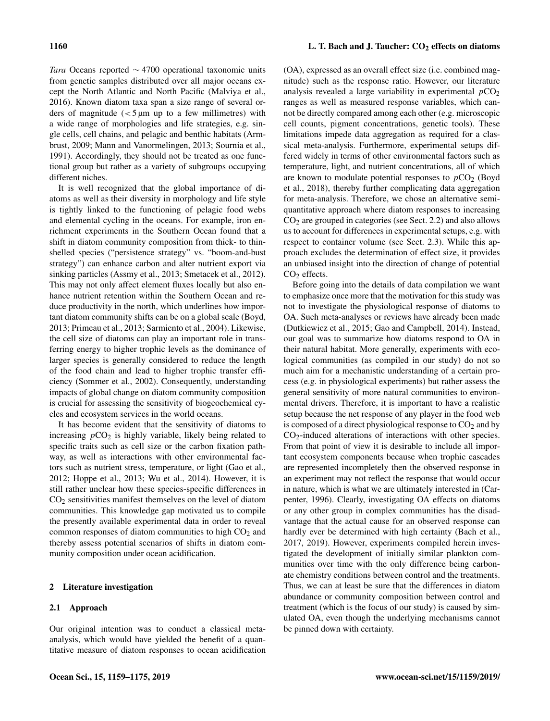*Tara* Oceans reported ∼ 4700 operational taxonomic units from genetic samples distributed over all major oceans except the North Atlantic and North Pacific (Malviya et al., 2016). Known diatom taxa span a size range of several orders of magnitude  $\left($  < 5  $\mu$ m up to a few millimetres) with a wide range of morphologies and life strategies, e.g. single cells, cell chains, and pelagic and benthic habitats (Armbrust, 2009; Mann and Vanormelingen, 2013; Sournia et al., 1991). Accordingly, they should not be treated as one functional group but rather as a variety of subgroups occupying different niches.

It is well recognized that the global importance of diatoms as well as their diversity in morphology and life style is tightly linked to the functioning of pelagic food webs and elemental cycling in the oceans. For example, iron enrichment experiments in the Southern Ocean found that a shift in diatom community composition from thick- to thinshelled species ("persistence strategy" vs. "boom-and-bust strategy") can enhance carbon and alter nutrient export via sinking particles (Assmy et al., 2013; Smetacek et al., 2012). This may not only affect element fluxes locally but also enhance nutrient retention within the Southern Ocean and reduce productivity in the north, which underlines how important diatom community shifts can be on a global scale (Boyd, 2013; Primeau et al., 2013; Sarmiento et al., 2004). Likewise, the cell size of diatoms can play an important role in transferring energy to higher trophic levels as the dominance of larger species is generally considered to reduce the length of the food chain and lead to higher trophic transfer efficiency (Sommer et al., 2002). Consequently, understanding impacts of global change on diatom community composition is crucial for assessing the sensitivity of biogeochemical cycles and ecosystem services in the world oceans.

It has become evident that the sensitivity of diatoms to increasing  $pCO<sub>2</sub>$  is highly variable, likely being related to specific traits such as cell size or the carbon fixation pathway, as well as interactions with other environmental factors such as nutrient stress, temperature, or light (Gao et al., 2012; Hoppe et al., 2013; Wu et al., 2014). However, it is still rather unclear how these species-specific differences in CO<sup>2</sup> sensitivities manifest themselves on the level of diatom communities. This knowledge gap motivated us to compile the presently available experimental data in order to reveal common responses of diatom communities to high  $CO<sub>2</sub>$  and thereby assess potential scenarios of shifts in diatom community composition under ocean acidification.

### 2 Literature investigation

## 2.1 Approach

Our original intention was to conduct a classical metaanalysis, which would have yielded the benefit of a quantitative measure of diatom responses to ocean acidification (OA), expressed as an overall effect size (i.e. combined magnitude) such as the response ratio. However, our literature analysis revealed a large variability in experimental  $pCO<sub>2</sub>$ ranges as well as measured response variables, which cannot be directly compared among each other (e.g. microscopic cell counts, pigment concentrations, genetic tools). These limitations impede data aggregation as required for a classical meta-analysis. Furthermore, experimental setups differed widely in terms of other environmental factors such as temperature, light, and nutrient concentrations, all of which are known to modulate potential responses to  $pCO<sub>2</sub>$  (Boyd et al., 2018), thereby further complicating data aggregation for meta-analysis. Therefore, we chose an alternative semiquantitative approach where diatom responses to increasing  $CO<sub>2</sub>$  are grouped in categories (see Sect. 2.2) and also allows us to account for differences in experimental setups, e.g. with respect to container volume (see Sect. 2.3). While this approach excludes the determination of effect size, it provides an unbiased insight into the direction of change of potential  $CO<sub>2</sub>$  effects.

Before going into the details of data compilation we want to emphasize once more that the motivation for this study was not to investigate the physiological response of diatoms to OA. Such meta-analyses or reviews have already been made (Dutkiewicz et al., 2015; Gao and Campbell, 2014). Instead, our goal was to summarize how diatoms respond to OA in their natural habitat. More generally, experiments with ecological communities (as compiled in our study) do not so much aim for a mechanistic understanding of a certain process (e.g. in physiological experiments) but rather assess the general sensitivity of more natural communities to environmental drivers. Therefore, it is important to have a realistic setup because the net response of any player in the food web is composed of a direct physiological response to  $CO<sub>2</sub>$  and by CO2-induced alterations of interactions with other species. From that point of view it is desirable to include all important ecosystem components because when trophic cascades are represented incompletely then the observed response in an experiment may not reflect the response that would occur in nature, which is what we are ultimately interested in (Carpenter, 1996). Clearly, investigating OA effects on diatoms or any other group in complex communities has the disadvantage that the actual cause for an observed response can hardly ever be determined with high certainty (Bach et al., 2017, 2019). However, experiments compiled herein investigated the development of initially similar plankton communities over time with the only difference being carbonate chemistry conditions between control and the treatments. Thus, we can at least be sure that the differences in diatom abundance or community composition between control and treatment (which is the focus of our study) is caused by simulated OA, even though the underlying mechanisms cannot be pinned down with certainty.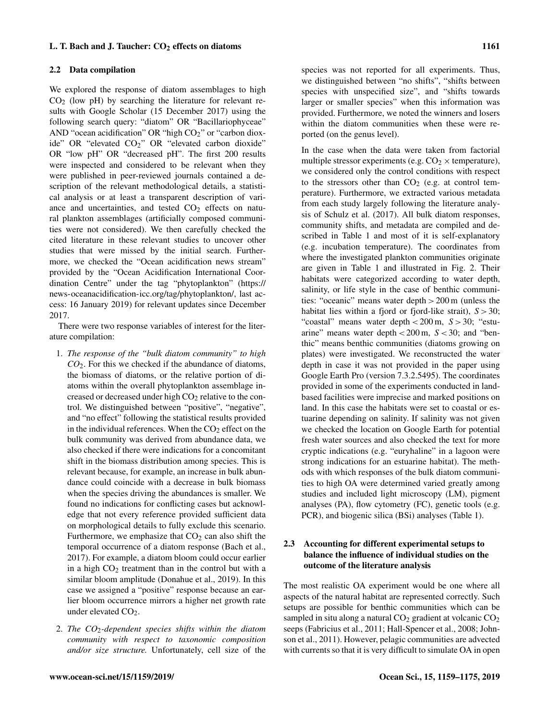## 2.2 Data compilation

We explored the response of diatom assemblages to high  $CO<sub>2</sub>$  (low pH) by searching the literature for relevant results with Google Scholar (15 December 2017) using the following search query: "diatom" OR "Bacillariophyceae" AND "ocean acidification" OR "high  $CO<sub>2</sub>$ " or "carbon dioxide" OR "elevated CO<sub>2</sub>" OR "elevated carbon dioxide" OR "low pH" OR "decreased pH". The first 200 results were inspected and considered to be relevant when they were published in peer-reviewed journals contained a description of the relevant methodological details, a statistical analysis or at least a transparent description of variance and uncertainties, and tested  $CO<sub>2</sub>$  effects on natural plankton assemblages (artificially composed communities were not considered). We then carefully checked the cited literature in these relevant studies to uncover other studies that were missed by the initial search. Furthermore, we checked the "Ocean acidification news stream" provided by the "Ocean Acidification International Coordination Centre" under the tag "phytoplankton" [\(https://](https://news-oceanacidification-icc.org/tag/phytoplankton/) [news-oceanacidification-icc.org/tag/phytoplankton/,](https://news-oceanacidification-icc.org/tag/phytoplankton/) last access: 16 January 2019) for relevant updates since December 2017.

There were two response variables of interest for the literature compilation:

- 1. *The response of the "bulk diatom community" to high CO*2. For this we checked if the abundance of diatoms, the biomass of diatoms, or the relative portion of diatoms within the overall phytoplankton assemblage increased or decreased under high  $CO<sub>2</sub>$  relative to the control. We distinguished between "positive", "negative", and "no effect" following the statistical results provided in the individual references. When the  $CO<sub>2</sub>$  effect on the bulk community was derived from abundance data, we also checked if there were indications for a concomitant shift in the biomass distribution among species. This is relevant because, for example, an increase in bulk abundance could coincide with a decrease in bulk biomass when the species driving the abundances is smaller. We found no indications for conflicting cases but acknowledge that not every reference provided sufficient data on morphological details to fully exclude this scenario. Furthermore, we emphasize that  $CO<sub>2</sub>$  can also shift the temporal occurrence of a diatom response (Bach et al., 2017). For example, a diatom bloom could occur earlier in a high  $CO<sub>2</sub>$  treatment than in the control but with a similar bloom amplitude (Donahue et al., 2019). In this case we assigned a "positive" response because an earlier bloom occurrence mirrors a higher net growth rate under elevated  $CO<sub>2</sub>$ .
- 2. *The CO*2*-dependent species shifts within the diatom community with respect to taxonomic composition and/or size structure.* Unfortunately, cell size of the

species was not reported for all experiments. Thus, we distinguished between "no shifts", "shifts between species with unspecified size", and "shifts towards larger or smaller species" when this information was provided. Furthermore, we noted the winners and losers within the diatom communities when these were reported (on the genus level).

In the case when the data were taken from factorial multiple stressor experiments (e.g.  $CO<sub>2</sub> \times$  temperature), we considered only the control conditions with respect to the stressors other than  $CO<sub>2</sub>$  (e.g. at control temperature). Furthermore, we extracted various metadata from each study largely following the literature analysis of Schulz et al. (2017). All bulk diatom responses, community shifts, and metadata are compiled and described in Table 1 and most of it is self-explanatory (e.g. incubation temperature). The coordinates from where the investigated plankton communities originate are given in Table 1 and illustrated in Fig. 2. Their habitats were categorized according to water depth, salinity, or life style in the case of benthic communities: "oceanic" means water depth >200 m (unless the habitat lies within a fjord or fjord-like strait),  $S > 30$ ; "coastal" means water depth  $<$  200 m,  $S$  > 30; "estuarine" means water depth  $< 200$  m,  $S < 30$ ; and "benthic" means benthic communities (diatoms growing on plates) were investigated. We reconstructed the water depth in case it was not provided in the paper using Google Earth Pro (version 7.3.2.5495). The coordinates provided in some of the experiments conducted in landbased facilities were imprecise and marked positions on land. In this case the habitats were set to coastal or estuarine depending on salinity. If salinity was not given we checked the location on Google Earth for potential fresh water sources and also checked the text for more cryptic indications (e.g. "euryhaline" in a lagoon were strong indications for an estuarine habitat). The methods with which responses of the bulk diatom communities to high OA were determined varied greatly among studies and included light microscopy (LM), pigment analyses (PA), flow cytometry (FC), genetic tools (e.g. PCR), and biogenic silica (BSi) analyses (Table 1).

## 2.3 Accounting for different experimental setups to balance the influence of individual studies on the outcome of the literature analysis

The most realistic OA experiment would be one where all aspects of the natural habitat are represented correctly. Such setups are possible for benthic communities which can be sampled in situ along a natural  $CO<sub>2</sub>$  gradient at volcanic  $CO<sub>2</sub>$ seeps (Fabricius et al., 2011; Hall-Spencer et al., 2008; Johnson et al., 2011). However, pelagic communities are advected with currents so that it is very difficult to simulate OA in open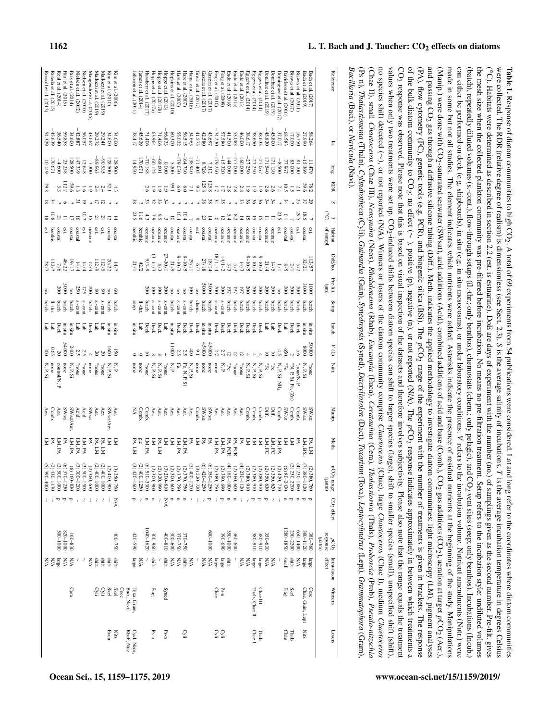| Losers                                                                    | pCO <sub>2</sub> Intra-taxon Winners |  | pCO <sub>2</sub> range CO <sub>2</sub> effect |  | Meth. | Manip.                                                                                                                                                                                                                                                                   | Incub. $V(L)$ Nutr. | DoE/no. Pre-filt. Setup | T Habitat | RDR<br>S | long | $\mathbb{R}$                           | Reference |
|---------------------------------------------------------------------------|--------------------------------------|--|-----------------------------------------------|--|-------|--------------------------------------------------------------------------------------------------------------------------------------------------------------------------------------------------------------------------------------------------------------------------|---------------------|-------------------------|-----------|----------|------|----------------------------------------|-----------|
|                                                                           |                                      |  |                                               |  |       |                                                                                                                                                                                                                                                                          |                     |                         |           |          |      | Bacillaria (Baci), or Navicula (Navi). |           |
|                                                                           |                                      |  |                                               |  |       | (Ps-n), Thalassionema (Thaln), Cylindrotheca (Cyli), Guinardia (Guin), Synedropsis (Syned), Dactyliosolen (Dact), Toxarium (Toxa), Leptocylindrus (Lept), Grammatophora (Gram),                                                                                          |                     |                         |           |          |      |                                        |           |
| Thalassiosira (Thals), Proboscia (Prob), Pseudo-nitzschia                 |                                      |  |                                               |  |       | (Chae II), small <i>Chaetoceros</i> (Chae III), <i>Neosyndra</i> (Neos), <i>Rhabdonema</i> (Rhab), <i>Eucampia</i> (Euca), <i>Cerataulina</i> (Cera),                                                                                                                    |                     |                         |           |          |      |                                        |           |
|                                                                           |                                      |  |                                               |  |       | no species shift detected (NA). Winners or losers of the diatomatic Chaesh, summunity comprise Chaestoceros (Chae), large Chaesh, large Chaesh, and                                                                                                                      |                     |                         |           |          |      |                                        |           |
|                                                                           |                                      |  |                                               |  |       | values when only two treatments were set up. CO <sub>2</sub> -induced shifts between diatom species can shift to larger species (large), shift to smaller species (small), unspecified shift (shift),                                                                    |                     |                         |           |          |      |                                        |           |
|                                                                           |                                      |  |                                               |  |       | CO <sub>2</sub> response was observed. Please note that this is based on visual inspection of the datasets and therefore involves subjectivity. Please also note that the range equals the treatment                                                                     |                     |                         |           |          |      |                                        |           |
|                                                                           |                                      |  |                                               |  |       | of the bulk diatom community to CO <sub>2</sub> : no effect $(\sim$ , positive (n), or not reported $(NA)$ . The pCO <sub>2</sub> response indicates appossimately in between which treatments a                                                                         |                     |                         |           |          |      |                                        |           |
|                                                                           |                                      |  |                                               |  |       | (PA), flow cytometry (FC), genetic tools (e.g. PCR), and biogenic stillight and the experiment with the experiment with the experiment with the anon-berous silven in brackets. The response                                                                             |                     |                         |           |          |      |                                        |           |
|                                                                           |                                      |  |                                               |  |       | and passing CO <sub>2</sub> gas through a diffusive silicone tubing (Diff.). Metal supplical methodology to investigate diatom communities: light microscopy (LM), pigment analyses                                                                                      |                     |                         |           |          |      |                                        |           |
|                                                                           |                                      |  |                                               |  |       | (Manip.) were done with CO <sub>2</sub> -saturated seawater (SWsat), acid additions (Acid), combined additions of acid and base (Comb.), CO <sub>2</sub> gas additions (Monb.), CO <sub>2</sub> gas additions (Acid), ecroper with CO <sub>2</sub> , (Acit), acrations ( |                     |                         |           |          |      |                                        |           |
|                                                                           |                                      |  |                                               |  |       | made in some but not all studies. The element indicates which nutrients were added. Asterisks indicate the presence of residual nutrients at the beginning of the study. Manipulations                                                                                   |                     |                         |           |          |      |                                        |           |
|                                                                           |                                      |  |                                               |  |       | can either be performed on deck (e.g. shipboards), in situ (e.g. in situ (e.g. in situ (e.g. in situ (e.g. in situ (e.g. in situ (e.g. in situ (e.g. in situ (e.g. in situ (e.g. in situ (e.g. in situ (e.g. in situ (e.g. in                                            |                     |                         |           |          |      |                                        |           |
| and CO <sub>2</sub> vent sites (seep; only benthos). Incubations (Incub.) |                                      |  |                                               |  |       | (batch), repeatedly diluted volumes (s.-cont.), flow-through setups (fl.-thr.; only benthos), chemostats (chem.; only pelagic),                                                                                                                                          |                     |                         |           |          |      |                                        |           |
|                                                                           |                                      |  |                                               |  |       | the mesh size when delected plankion community was pre-ellitered before including the means no pre-filtration treation treation is was pre-ellitered before including the means of pre-ellitered before including the means of                                           |                     |                         |           |          |      |                                        |           |
|                                                                           |                                      |  |                                               |  |       | (°C). Habitats were determined as described in securion assement with the number ("containment with the number ("containment with the number ("containment with the number ("containment with the number ("containment with th                                           |                     |                         |           |          |      |                                        |           |
|                                                                           |                                      |  |                                               |  |       | were collected. The RDR (relative degree of realism) is durated in the average solutions of the average salinity of is the average salinity of in the date and average salinity of included incubation temperature in degrees                                            |                     |                         |           |          |      |                                        |           |
|                                                                           |                                      |  |                                               |  |       | $\bf{r}$ and the sequence of the sequence of $\bf{r}$ and $\bf{r}$ and $\bf{r}$ and $\bf{r}$ and $\bf{r}$ and $\bf{r}$ and $\bf{r}$ and $\bf{r}$ and $\bf{r}$ and $\bf{r}$ and $\bf{r}$ and $\bf{r}$ and $\bf{r}$ and $\bf{r}$ and $\bf{r}$ a                            |                     |                         |           |          |      |                                        |           |

|               |                  | yn              |                               |                          |                                                                | Σ                        | Aer.                  |                           | none<br>N, P, Si                     | Гab                             | batch          |                        |                                                                                                                                                                                                                                                                                                                                    |                           |                 |                      | 29.8                                                     | 10.149                 | 54.329           | Rossoll et al. (2013)                        |
|---------------|------------------|-----------------|-------------------------------|--------------------------|----------------------------------------------------------------|--------------------------|-----------------------|---------------------------|--------------------------------------|---------------------------------|----------------|------------------------|------------------------------------------------------------------------------------------------------------------------------------------------------------------------------------------------------------------------------------------------------------------------------------------------------------------------------------|---------------------------|-----------------|----------------------|----------------------------------------------------------|------------------------|------------------|----------------------------------------------|
|               |                  | ΥN              |                               | $\lambda$                |                                                                | ž                        | Comb                  |                           | 6.65                                 | Гар                             | $\frac{1}{2}$  |                        |                                                                                                                                                                                                                                                                                                                                    | benthic                   | $\frac{21}{10}$ |                      |                                                          | 170.671                | $-45.639$        | Roleda et al. (2015)                         |
|               |                  | parge           | $0001 - 009$                  | ъ                        |                                                                | LM, PA                   | Aer.                  | control/N, P              |                                      | Deck                            | batch          | 200                    |                                                                                                                                                                                                                                                                                                                                    | coastal                   |                 |                      | α,                                                       | $-4.600$               | 36.540           | Reul et al. (2014)                           |
|               |                  | УN              | 820-1000                      | ά                        | (6) 370–1230<br>(2) 500, 1000<br>(2) 430, 1170<br>(5) 390–4000 | ≯                        | <b>SWsat</b>          |                           | none                                 | in situ<br>$000 + 5$            | batch          |                        |                                                                                                                                                                                                                                                                                                                                    | est.                      |                 | $\circ$              |                                                          | 23.258                 | 59.858           |                                              |
|               | Cera             | УN              | 160-830                       | ಕ                        | $(6) 160 - 830$                                                |                          | SWsat/Aer             |                           | 2400<br>$N, P, Si$                   | in situ                         | batch          |                        |                                                                                                                                                                                                                                                                                                                                    | coastal                   | $\Xi \Xi$ $\Xi$ | $\ddot{\phantom{a}}$ | 59.6                                                     | 128.500                | 34.600           | Park et al. $(2014)$<br>Paul et al. $(2015)$ |
|               |                  | ₹               |                               | $\wr$                    | $(3)$ 300-1200                                                 | LM, PA<br>LM, PA         | Acid                  |                           | 2.5<br>$\ast$ none                   | E                               | s.-cont        | 250                    |                                                                                                                                                                                                                                                                                                                                    | coastal                   |                 | $\tilde{\epsilon}$   | $\overline{s}$                                           | 147.339                | $-42.887$        | Nielsen et al. (2012)                        |
|               |                  |                 |                               | $\hat{\zeta}$            | (3) 500-1500                                                   | LM, PA                   | Acid                  |                           | 2.5<br>$_{\rm *}$ none               | Γą                              | s.-cont.       | 175                    |                                                                                                                                                                                                                                                                                                                                    | est.                      | $10.7\,$        | 5                    | $\overline{9}$                                           | 12.648                 |                  | Nielsen et al. (2010)                        |
|               |                  | V/N             |                               | $\bar{\zeta}$            | $(2)$ 360, 630                                                 | P                        | SWsat                 |                           | none                                 | Deck                            | batch          | 200                    | $\begin{array}{c}\n 13728 \\  201294 \\  212294 \\  21220 \\  21220 \\  21220 \\  21220 \\  21220 \\  21220 \\  21220 \\  21220 \\  21220 \\  21220 \\  21220 \\  21220 \\  21220 \\  21220 \\  21220 \\  21220 \\  21220 \\  21220 \\  21220 \\  21220 \\  21220 \\  21220 \\  21220 \\  21220 \\  21220 \\  21220 \\  21220 \\ $ | oceanic                   | $\overline{a}$  |                      | $\overline{61}$                                          | $-7.300$               | 43.667<br>56.057 | Maugendre et al. (2015)                      |
|               |                  |                 |                               |                          |                                                                |                          | Aer.                  |                           | $\ast$ none                          |                                 | s.-cont.       |                        |                                                                                                                                                                                                                                                                                                                                    | est.                      |                 |                      |                                                          |                        |                  |                                              |
|               | Суli             | shift           |                               | $\wr$                    | (2)400,1000                                                    | PA, LM                   |                       |                           | $\frac{20}{20}$                      | Гab                             |                | $_{\rm 80}^{\rm 8}$    |                                                                                                                                                                                                                                                                                                                                    |                           | $\frac{21}{21}$ | 5                    | $\frac{2.4}{2.4}$                                        | $-896.963$             | 29.272           | Mallozzi et al. (2019)                       |
|               | Суli             | shift           |                               | ₹                        | (2)400,1000                                                    | PA, LM                   | Aer.                  |                           | $_{\rm s}$ none                      | Гар                             | s.-cont.       |                        |                                                                                                                                                                                                                                                                                                                                    | cst.                      |                 |                      |                                                          | $-90.935$              | 29.241           | Mallozzi et al. (2019)                       |
| Euca          |                  | shift           |                               | $\, \overline{\,}$       | (2)400,900                                                     | ΣI                       | SW <sub>sat/Aer</sub> |                           | $\overline{8}$<br>N, P, Si           | in situ                         | batch          | $\overline{a}$         |                                                                                                                                                                                                                                                                                                                                    | coastal                   |                 |                      |                                                          | 128.500                | <b>34.600</b>    | Kim et al. (2010)                            |
| Xitz          | Skel<br>Skel     | shift           | $400 - 750$                   | XIA                      | $(3) 250 - 750$                                                | $\overline{N}$           | Aer.                  |                           | N, P                                 | in situ                         | batch          | $\mathbf{S}$           |                                                                                                                                                                                                                                                                                                                                    | coastal                   | $\overline{4}$  |                      |                                                          | 128.500                | 34.600           | Kim et al. (2006)                            |
|               | Cocc             |                 |                               |                          |                                                                |                          |                       |                           |                                      |                                 |                |                        |                                                                                                                                                                                                                                                                                                                                    |                           |                 |                      |                                                          |                        |                  |                                              |
| Rhab, Nitz    | Baci, Navi,      |                 |                               |                          |                                                                |                          |                       |                           |                                      |                                 |                |                        |                                                                                                                                                                                                                                                                                                                                    |                           |                 |                      |                                                          |                        |                  |                                              |
| Cycl, Neos,   | Ioxa, Gram,      | large           | 420-590                       | Δ                        | $(3)420 - 1600$                                                | PA, LM                   | Š                     |                           | none                                 | in situ                         | eep            |                        |                                                                                                                                                                                                                                                                                                                                    |                           | 23.5            | 38                   |                                                          | 14.950                 | 38.417           | ohnson et al. (2011)                         |
|               |                  | XIA             |                               | $\bar{\zeta}$            | (2)400, 1250                                                   | $\frac{1}{2}$            | Comb                  |                           | none                                 |                                 | fl.-thr.       |                        | $\frac{42}{21}$                                                                                                                                                                                                                                                                                                                    | <b>benthic</b><br>benthic | 11.6            |                      |                                                          | 170.671                | 45.639           | ames et al. $(2014)$                         |
|               |                  |                 |                               |                          |                                                                |                          |                       |                           |                                      |                                 |                |                        |                                                                                                                                                                                                                                                                                                                                    | oceanic                   |                 |                      |                                                          |                        |                  |                                              |
|               |                  | ₹               | 1040-1620                     | Ξ                        | $(6)$ 510-3300                                                 | LM, PA                   | Comb.                 |                           | $_{\rm s}$ none                      | Deck                            | batch          | $\frac{1000}{2000}$    |                                                                                                                                                                                                                                                                                                                                    |                           | 4.3             | 33                   |                                                          |                        | 71.406           | Iussherr et al. (2017)                       |
| Ps-n          | Frag             | shift           | 300-960                       | $\blacksquare$           | $(2)$ 300, 960                                                 | Σ                        | Aer.                  |                           | ${\bf N}, {\bf P}, {\bf S}$ is       | Deck                            | s.-cont        |                        |                                                                                                                                                                                                                                                                                                                                    | oceanic                   | 62              | 32                   |                                                          | $-68.601$<br>$-70.188$ | 63.964           | Hoppe et al. (2017a)                         |
|               |                  |                 |                               | ζ                        | $(2)$ 320, 990                                                 | PA, LM                   | Aer.                  |                           |                                      | Deck                            | s.-cont        | $\overline{0}$         |                                                                                                                                                                                                                                                                                                                                    | oceanic                   | 6.5             | 33                   | $\overline{6}$                                           |                        | 71.406           | Hoppe et al. (2017b)                         |
| $Ps-n$        | Syned            | shift           | $400 - 810$                   | УŅ                       | $(3)$ 200-810                                                  | ≿                        | Aer.                  |                           | $_{\rm *}$ none                      | Ēв                              | s.-cont        | 500                    |                                                                                                                                                                                                                                                                                                                                    | oceanic                   |                 | ξ                    | $\overline{6}$                                           | 0.000                  | $-66.833$        | Hoppe et al. (2013)                          |
|               |                  | XIA             | $009 - 005$                   |                          | $(2)$ 300, 600                                                 | k                        | Aer.                  |                           | N, P                                 | in situ<br>$\frac{11000}{2000}$ | batch          | $\overline{5}$         |                                                                                                                                                                                                                                                                                                                                    | coastal                   | $\overline{a}$  |                      | 1'66                                                     | 5.200                  | 00.300           | Jopkins et al. (2010)                        |
|               |                  | XIA             | 370-750                       |                          | $(2)$ 370, 750                                                 | LM, PA                   | Aer.                  |                           | P                                    | Deck                            | s.-cont        | $\overline{5}$         |                                                                                                                                                                                                                                                                                                                                    | oceanic                   | 10.4            |                      | 6.0                                                      |                        | 55.022           | Hare et al. (2007)                           |
| Суli          |                  | <b>Shift</b>    | 370-750                       | $\blacksquare$           | $(2)$ 370, 750                                                 | LM, PA                   | Aer.                  |                           |                                      | Deck                            | s.-cont        | $\overline{5}$         |                                                                                                                                                                                                                                                                                                                                    | coastal                   | 10.4            |                      | $\overline{0}$                                           | $-164.730$<br>08.730   | 56.515           | Hare et al. (2007)                           |
|               |                  |                 |                               |                          |                                                                |                          |                       | N, P, Si<br>Fe, N, P, Si  |                                      |                                 |                |                        |                                                                                                                                                                                                                                                                                                                                    |                           |                 |                      |                                                          |                        |                  |                                              |
|               |                  | УN              |                               | $\overline{\zeta}$       | $(3)400 - 1200$                                                | у                        | Aer.                  |                           | $\frac{4}{3}$                        | Deck                            | batch          | $\overline{0}$         |                                                                                                                                                                                                                                                                                                                                    | coastal                   |                 |                      |                                                          | 138.940                | 34.665           | Hama et al. (2016)                           |
|               |                  |                 |                               | $\lambda$                | $(3) 220 - 720$                                                | E                        | Comb                  |                           | $\frac{6}{2}$<br>none                | Deck                            | chem.          | $\overline{a}$         |                                                                                                                                                                                                                                                                                                                                    | est.                      |                 |                      | $\frac{125}{7.1}$                                        | $-71.405$              | 41.575           | $3$ rear et al. $(2017)$                     |
|               |                  | V/N             |                               | $\lambda$                | $6,420 - 1250$                                                 | ž                        | SWsat                 |                           | none                                 | in situ<br>45000                | batch          | 000S                   |                                                                                                                                                                                                                                                                                                                                    | coastal                   |                 | 38                   |                                                          | 8.726                  | 42.580           | $3a$ zeau et al. $(2017)$                    |
|               |                  | УN              | $0001 - 009$                  | ٣                        | $(6)$ 350 $-1250$                                              | ¥                        | SWsat                 |                           | none                                 | in situ<br>45000                | batch          | <b>5000</b>            |                                                                                                                                                                                                                                                                                                                                    | coastal                   |                 | 38                   | 125.8                                                    | 7.312                  | $43.697$         | Gazeau et al. $(2017)$                       |
|               | Chae             | large           |                               | $\overline{\mathcal{L}}$ | $(2)$ 380, 750                                                 | LM, PA                   | Aer.                  |                           | 51<br>none                           | Deck                            | s.-cont        | 200                    |                                                                                                                                                                                                                                                                                                                                    | oceanic                   |                 | 34                   | $\overline{a}$                                           | $-179.230$             | $-74.230$        | Feng et al. (2010)                           |
| č≫ii          | $P_{S-II}$       | parge           | 390-690                       | ᠊ᠣ                       | $(2)$ 390, 690                                                 | LM, PA                   | Aer.                  |                           | Х, Р                                 | Deck                            | s.-cont.       | 200                    |                                                                                                                                                                                                                                                                                                                                    | oceanic                   |                 | 3S                   | $\overline{\omega}$                                      | $-15.320$              | 57.580           | Feng et al. (2009)                           |
|               |                  | shift           | 350-1000                      | $\blacksquare$           | $(4) 180 - 1000$                                               | PA, PCR                  | Aer.                  |                           | $\mathbb{F}_{\mathrm{Fe}}$           | Deck                            | batch          | 161                    |                                                                                                                                                                                                                                                                                                                                    | oceanic                   | 5.4             |                      |                                                          | 144.000                | 41.500           | Endo et al. (2016)                           |
|               |                  |                 | 360-600                       | $\blacksquare$           | $(2)$ 360, 600                                                 | PA, PCR                  | Aer.                  |                           | $\ast$ none                          | Deck                            | batch          | $101$                  |                                                                                                                                                                                                                                                                                                                                    | oceanic                   | 8.2             | $\ddot{\phantom{0}}$ | $\begin{smallmatrix} 2.8 \\[-4pt] 2.8 \end{smallmatrix}$ | 177.000                | 53.083           | indo et al. (2015)                           |
|               |                  | XX              |                               | $\lambda$                | $4)$ 230-1120                                                  | F                        | Aer.                  |                           | $^{\circ}$ none                      | Deck                            | batch          | 197                    |                                                                                                                                                                                                                                                                                                                                    | oceanic                   |                 | 33                   | 2.8                                                      | 160.000                | 46.000           | 2013                                         |
|               |                  | УN              |                               | $\lambda$                | $(2)$ 380, 910                                                 | Ę                        | Comb.                 |                           | <b>X X X X</b><br>R R R S<br>R S S S | Deck                            | batch          | $007$                  |                                                                                                                                                                                                                                                                                                                                    | oceanic                   |                 | 96                   | $\overline{6}$                                           | $-27.250$              | 38.617           | iggers et al. (2014)                         |
| Chae I        | Thals, Chae II   | large           | 380-910                       | ъ                        | $(2)$ 380, 910                                                 | Σ                        | Comb.<br>Comb.        |                           |                                      | Deck                            | batch          | 007                    |                                                                                                                                                                                                                                                                                                                                    | coastal                   |                 | 36                   | $\overline{61}$                                          |                        | 38.650           | Eggers et al. (2014)                         |
| Thals         | Chae III         | large           | 380-910                       | ₩                        | $(2)$ 380, 910                                                 | $\overline{N}$           |                       |                           |                                      | Deck                            | batch          | 500                    |                                                                                                                                                                                                                                                                                                                                    | coastal                   |                 | 96                   | 61                                                       | $-27.067$<br>$-27.250$ | 38.633           | $3g$ gers et al. $(2014)$                    |
|               |                  | УN              | 350-630                       | Δ                        | $(2)$ 350, 630                                                 |                          | Diff.                 |                           | $\mathbb{H}^6$                       | Ēθ                              | batch          | 200                    |                                                                                                                                                                                                                                                                                                                                    | oceanic                   |                 | 34                   | 2.6                                                      | 171.540                | $-45.830$        | Donahue et al. (2019)                        |
|               |                  | УN              |                               | $\lambda$                | $(2)$ 350, 620                                                 | LM. RA<br>LM. R<br>LM. R | Diff.                 |                           | $\vec{F}$                            | Гар                             | batch          | 200                    |                                                                                                                                                                                                                                                                                                                                    | oceanic                   |                 | 34                   |                                                          | 171.130                | $-45.800$        | Donahue et al. (2019)                        |
|               |                  |                 |                               | $\lambda$                | $(2)$ 420, 710                                                 |                          | Comb.                 | N, P, Si, NH <sub>4</sub> |                                      | Deck                            | batch          | $\overline{a}$         | $\overline{a}$                                                                                                                                                                                                                                                                                                                     | est.                      | 23.5            |                      |                                                          | $-8.500$               | 37.017           | Jomingues et al. (2017)                      |
| Chae          | Frag             | [Puus]          | 1280-1850                     | $\equiv$                 | $(6)$ 80-2420                                                  | Σ                        | SWsat                 |                           | *Fe                                  | Гab                             |                | 500                    |                                                                                                                                                                                                                                                                                                                                    | coastal                   | $\overline{C}$  | Þε                   | 10.5                                                     | 77.967                 | 68.583           | Javidson et al. (2016)                       |
| Thals         | <b>Skel</b>      | shift           | 230-2200                      | $\overline{\phantom{a}}$ | 2) 230, 2200                                                   | K                        | Comb.                 | *N, P, Si, Fe, $(Zn)$     |                                      | Deck                            | batch<br>batch | 00                     | $\frac{2}{8/5}$                                                                                                                                                                                                                                                                                                                    | coastal                   |                 |                      | $\overline{5}$                                           | 83.000                 | 17.000           | Biswas et al. $(2017)$                       |
|               |                  | УN              | 020-1400                      | $\equiv$                 | $(4) 230 - 1860$                                               | ž                        | Comb.                 | none/N, P                 |                                      | Deck                            | batch          | 200                    | 5/2                                                                                                                                                                                                                                                                                                                                | est.                      | 29.5            |                      |                                                          | 81.100                 | 16.750           | Biswas et al. (2011)                         |
| Nitz          | Chae, Guin, Lept | large           | 380-1120                      | ₩                        | 7) 380-1120                                                    | LM, BSi                  | SWsat                 |                           | 0008<br>N, P, Si                     | in situ                         | batch          | 0005                   | 32/21                                                                                                                                                                                                                                                                                                                              | coastal                   | 18.5            |                      |                                                          | 15.369                 | 27.990           | Bach et al. (2019)                           |
|               | Cosc             | parge           | 380-760                       |                          | $(2)$ 380, 760                                                 | PA, LM                   | SWsat                 |                           | $_{\rm *}$ mone                      | in situ<br><b>0000S</b>         | batch          | $\overline{5}$         | 13/5                                                                                                                                                                                                                                                                                                                               |                           |                 | 29<br>37             | 76.2<br>59.6                                             | 11.479                 | 58.264           | Bach et al. (2017)                           |
|               |                  | effect          | response<br>$(\mathtt{turn})$ |                          | $(\mathrm{unpr})$                                              |                          |                       |                           |                                      |                                 |                | $\widehat{\mathbb{E}}$ |                                                                                                                                                                                                                                                                                                                                    | pdures 30                 | $\widehat{S}$   |                      |                                                          |                        |                  |                                              |
| <b>LOSCI3</b> | <b>WILLICIS</b>  | TITT SI-SEN OIT | pos<br>2                      | narra Zon                | poo <sub>2</sub> tange                                         |                          | Atmrt.                |                           |                                      | ilculo.                         | cut            | ic-lill                |                                                                                                                                                                                                                                                                                                                                    | mone                      |                 |                      |                                                          |                        |                  |                                              |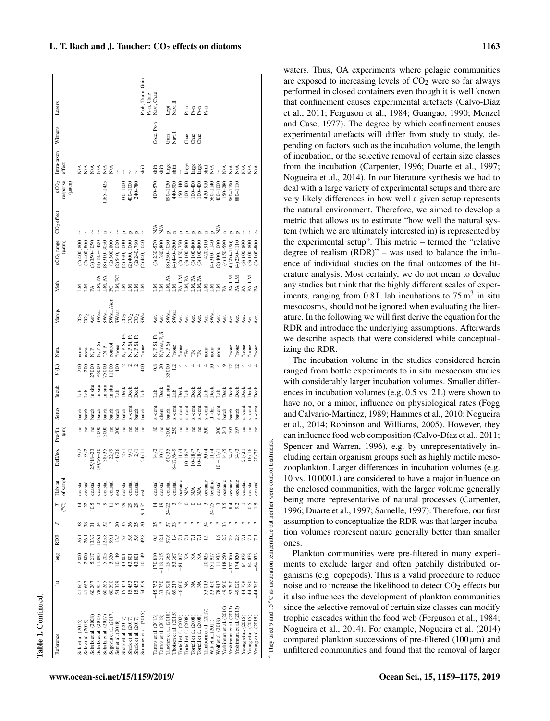waters. Thus, OA experiments where pelagic communities are exposed to increasing levels of  $CO<sub>2</sub>$  were so far always performed in closed containers even though it is well known that confinement causes experimental artefacts (Calvo-Díaz et al., 2011; Ferguson et al., 1984; Guangao, 1990; Menzel and Case, 1977). The degree by which confinement causes experimental artefacts will differ from study to study, depending on factors such as the incubation volume, the length of incubation, or the selective removal of certain size classes from the incubation (Carpenter, 1996; Duarte et al., 1997; Nogueira et al., 2014). In our literature synthesis we had to deal with a large variety of experimental setups and there are very likely differences in how well a given setup represents the natural environment. Therefore, we aimed to develop a metric that allows us to estimate "how well the natural system (which we are ultimately interested in) is represented by the experimental setup". This metric – termed the "relative degree of realism (RDR)" – was used to balance the influence of individual studies on the final outcomes of the literature analysis. Most certainly, we do not mean to devalue any studies but think that the highly different scales of experiments, ranging from  $0.8$  L lab incubations to  $75 \text{ m}^3$  in situ mesocosms, should not be ignored when evaluating the literature. In the following we will first derive the equation for the RDR and introduce the underlying assumptions. Afterwards we describe aspects that were considered while conceptualizing the RDR.

The incubation volume in the studies considered herein ranged from bottle experiments to in situ mesocosm studies with considerably larger incubation volumes. Smaller differences in incubation volumes (e.g. 0.5 vs. 2 L) were shown to have no, or a minor, influence on physiological rates (Fogg and Calvario-Martinez, 1989; Hammes et al., 2010; Nogueira et al., 2014; Robinson and Williams, 2005). However, they can influence food web composition (Calvo-Díaz et al., 2011; Spencer and Warren, 1996), e.g. by unrepresentatively including certain organism groups such as highly motile mesozooplankton. Larger differences in incubation volumes (e.g. 10 vs. 10 000 L) are considered to have a major influence on the enclosed communities, with the larger volume generally being more representative of natural processes (Carpenter, 1996; Duarte et al., 1997; Sarnelle, 1997). Therefore, our first assumption to conceptualize the RDR was that larger incubation volumes represent nature generally better than smaller ones.

Plankton communities were pre-filtered in many experiments to exclude larger and often patchily distributed organisms (e.g. copepods). This is a valid procedure to reduce noise and to increase the likelihood to detect  $CO<sub>2</sub>$  effects but it also influences the development of plankton communities since the selective removal of certain size classes can modify trophic cascades within the food web (Ferguson et al., 1984; Nogueira et al., 2014). For example, Nogueira et al. (2014) compared plankton successions of pre-filtered  $(100 \,\mu m)$  and unfiltered communities and found that the removal of larger

∗

They used 9 and 15

◦C as incubation temperature but neither were control treatments.

They used 9 and 15 $\degree$ C as incubation temperature but neither were control treatments

|                                   | Prob, Thaln, Guin,<br>Ps-n, Chae<br>Navi, Chae                                                                                                                                                                                                                                                                                                                                                                                                                                                                                                                                                                                                       |                                            |
|-----------------------------------|------------------------------------------------------------------------------------------------------------------------------------------------------------------------------------------------------------------------------------------------------------------------------------------------------------------------------------------------------------------------------------------------------------------------------------------------------------------------------------------------------------------------------------------------------------------------------------------------------------------------------------------------------|--------------------------------------------|
| Losers                            | $\begin{array}{c} \text{Lept} \\ \text{Navi II} \end{array}$<br>2555<br>2555                                                                                                                                                                                                                                                                                                                                                                                                                                                                                                                                                                         |                                            |
| Winners                           | Cosc, Ps-n<br>Guin<br>Navi 1<br>de<br>de<br>de                                                                                                                                                                                                                                                                                                                                                                                                                                                                                                                                                                                                       |                                            |
| Intra-taxon<br>effect             | large<br>Large<br>shift<br>E<br>E E E E E E<br>E<br>shift<br>large<br>shift<br>large<br>shift<br>shift<br>$\frac{4}{2}$<br>≸<br>$\lessapprox$<br>≸<br>≿<br>$\overline{\phantom{a}}$<br>$\overline{\phantom{a}}$                                                                                                                                                                                                                                                                                                                                                                                                                                      | ≶≨                                         |
| $p\text{CO}_2$ response<br>(µatm) | $165 - 1425$<br>$400 - 570$<br>330-1000<br>$400 - 1000$<br>$-1110$<br>$30 - 1030$<br>440-900<br>$100 - 400$<br>$100 - 400$<br>$420 - 910$<br>560-1140<br>150-280<br>0611-096<br>240-780<br>$100 - 400$<br>$+00 - 1000$<br>150-440                                                                                                                                                                                                                                                                                                                                                                                                                    |                                            |
| $CO2$ effect                      | ₹<br>N/A                                                                                                                                                                                                                                                                                                                                                                                                                                                                                                                                                                                                                                             |                                            |
|                                   |                                                                                                                                                                                                                                                                                                                                                                                                                                                                                                                                                                                                                                                      |                                            |
| pCO <sub>2</sub> range<br>(µatm)  | $(2)$ 400, 1000<br>(2)400,800<br>$(3)$ 350-1050<br>$(8)$ 185-1420<br>$(8)$ 310-3050<br>$(2)$ 300, 800<br>$(2)$ 240, 780<br>$(2)$ 440, 1040<br>$(3)$ 230-570<br>380,800<br>$(4)$ 440-3500<br>420, 910<br>$(4) 150 - 590$<br>$4(300 - 1190)$<br>(2)400,800<br>(2) 540, 1020<br>2) 330, 1000<br>$(2)$ 400, 1000<br>$(8)$ 350-1030<br>(2) 150, 750<br>$(3) 100 - 800$<br>$(3) 100 - 800$<br>$(3) 100 - 800$<br>$(4)$ 310-1140<br>4) $230 - 1110$<br>$(3) 100 - 800$                                                                                                                                                                                      | $(3) 100 - 800$<br>$(3) 100 - 800$         |
| Meth.                             | LM, PA<br>PA<br>PA, LM<br>PA, LM<br>FC<br>LM, FC<br>LM, PA<br>PA, LM<br>LM, PA<br>LM, PA<br>Σ<br>N.<br>ΞŠ<br>ΞŠ<br>N<br>Š<br>Σ<br>Σ                                                                                                                                                                                                                                                                                                                                                                                                                                                                                                                  | PA, LM<br>PA                               |
| Manip.                            | CO <sub>2</sub><br>CO <sub>2</sub><br>Aer.<br>SWsat<br>SWsat<br>SWsat<br>SWsat<br>Aer.<br>SWsat<br>SWsat<br>Aer.<br>Aer.<br>Aer.<br>ទីទីទី៖<br>Aer.<br>Aer.<br>Aer.<br>Aer.<br>Aer.                                                                                                                                                                                                                                                                                                                                                                                                                                                                  | Aer.                                       |
| Nutr.                             | N/urea, P, Si<br>N, P, Si<br>N, P, Si, Fe<br>N, P, Si, Fe<br>N, P, Si, Fe<br>N, P, Si, Fe<br>*none<br>$\begin{array}{l} \mathtt{N}, \mathtt{P} \\ \mathtt{N}, \mathtt{P}, \mathtt{Si} \\ \mathtt{N}, \mathtt{P} \\ \mathtt{N}, \mathtt{P} \end{array}$<br>control<br>*none<br>$*_{\text{none}}$<br>$*_{\text{none}}$<br>'none<br>'none<br>'none<br>none<br>none<br>none<br>none<br>none<br>$F^e$ if $F^e$                                                                                                                                                                                                                                            | none<br>none                               |
| ΙÓΛ                               | $_{0.8}$<br>11000<br>$\approx$<br>ನೆ ನಿ<br>27000<br>75000<br>1400<br>1400<br>35000<br>45000                                                                                                                                                                                                                                                                                                                                                                                                                                                                                                                                                          |                                            |
| Incub.                            | in situ<br>in situ<br>in situ<br>in situ                                                                                                                                                                                                                                                                                                                                                                                                                                                                                                                                                                                                             | Jeck<br>Þeck                               |
|                                   | in situ<br>Deck<br>Deck<br>Deck<br>Þeck<br>deck<br><b>Deck</b><br>Deck<br>Jeck<br>$\mathbf{a}$<br>da<br>Lab<br>$\frac{ab}{2}$<br>Jeck<br>Jeck<br>Jeck<br>Jeck<br>a <sub>b</sub><br>$\frac{1}{2}$<br>đe<br>Lat<br>de<br>Lab<br>de.<br>da<br>La                                                                                                                                                                                                                                                                                                                                                                                                        |                                            |
| Setup                             | s.-cont<br>s.-cont<br>s.-cont<br>$-$ cont<br>s.-cont<br>s.-cont<br>$-$ cont<br>$s.-con$<br>s.-cont<br>s.-com<br>fl.-thr.<br>chem.<br>batch<br>batch<br>batch<br>batch<br>batch<br><b>batch</b><br><b>batch</b><br>batch<br>batch<br>batch<br>batch<br>patch<br>patch<br>patch                                                                                                                                                                                                                                                                                                                                                                        | s.-cont<br>s.-cont                         |
| Pre-filt.<br>(∭                   | $\overline{\phantom{a}}$<br>$\overline{\phantom{a}}$<br>3000<br>200<br>$\overline{\phantom{a}}$<br>$\frac{1}{2}$<br>8000<br>250<br>$\frac{1}{2}$<br>$\frac{1}{2}$<br>243<br>$\frac{1}{2}$<br>å<br>8000<br>$\frac{1}{2}$<br>200<br>200<br>50<br>197                                                                                                                                                                                                                                                                                                                                                                                                   | $\overline{\phantom{a}}$<br>$\frac{1}{2}$  |
| DoE/no.                           | 60/35<br>$25/18 - 2$<br>38/35<br>22/5<br>14/2<br>$30/26 - 3$<br>4/26<br>$8 - 17/6$<br>$10 - 18$<br>$10 - 18/$<br>$10 - 18/7$<br>$\frac{4}{9}$ $\frac{5}{1}$ $\frac{5}{1}$<br>14 /:<br>14 /:<br>$\geq$<br>Т4<br>$\overline{a}$                                                                                                                                                                                                                                                                                                                                                                                                                        | $\frac{16}{16}$<br>20/20                   |
| of sampl<br>Habitat               | oceanic<br>$\begin{array}{l} \text{costal} \\ \text{costal} \\ \text{costal} \\ \text{costal} \\ \text{VCA} \\ \text{N/A} \\ \text{N/A} \\ \text{N/A} \\ \text{VCA} \\ \text{in} \\ \text{benthic} \\ \text{benthic} \end{array}$<br>oceanic<br>oceanic<br>coastal<br>coastal<br>coastal<br>coastal<br>coastal<br>coastal<br>coastal<br>coastal<br>coasta<br>coasta<br>coasta<br>coasta<br>est.                                                                                                                                                                                                                                                      | coasta<br>coastal                          |
| $\rm ^{\circ}C$                   | 13.5<br>$\tilde{5}$<br>$24 - 22$<br>24–2:<br>24                                                                                                                                                                                                                                                                                                                                                                                                                                                                                                                                                                                                      | $\frac{5}{2}$<br>$-0.5$                    |
|                                   | X X<br>ສ ສ ສ ສ ສ<br>ਨ਼<br>ಜ್ಞ-<br>S                                                                                                                                                                                                                                                                                                                                                                                                                                                                                                                                                                                                                  |                                            |
| RDR                               | 49.8<br>$\frac{12.1}{97.6}$<br>133.7<br>125.8<br>$-26.1$<br>$\overline{5}$<br><b>Si</b>                                                                                                                                                                                                                                                                                                                                                                                                                                                                                                                                                              |                                            |
| $\log$                            | 5.205<br>5.320<br>10.149<br>2.800<br>2.807<br>2.217<br>1.893<br>170.810<br>$-118.215$<br>$-15.365$<br>53.367<br>ź<br>151.917<br>$-177.010$<br>174.020<br>43.801<br>10.149<br>$-81.017$<br>ž<br>10.025<br>11.933<br>148.250<br>$-64.073$<br>43.801<br>43.801                                                                                                                                                                                                                                                                                                                                                                                          | $-64.07$<br>$-64.07$                       |
| Ħ                                 | 41.667<br>50.267<br>50.265<br>50.390<br>54.329<br>ź<br>$\begin{array}{r} -53.013 \\ -23.450 \\ 78.917 \\ 49.500 \\ 53.390 \end{array}$<br>49.020<br>$-44.79$<br>$-44.780$<br>15.453<br>15.453<br>15.453<br>54.329<br>$-45.752$<br>33.750<br>33.7928<br>50.217<br>60.600<br>≨ ≨<br>41.667                                                                                                                                                                                                                                                                                                                                                             | $-44.780$                                  |
| Reference                         | Yoshimura et al. (2010)<br>Yoshimura et al. (2013)<br>Yoshimura et al. (2013)<br>Trimborn et al. (2017)<br>Sommer et al. (2015)<br>Thoisen et al. $(2015)$<br>laucher et al. (2018)<br>Segovia et al. (2017<br>Schulz et al. (2017)<br>Tatters et al. (2013)<br>latters et al. (2018)<br>Tortell et al. (2008)<br>Tortell et al. (2008)<br>Tortell et al. (2008)<br>Schulz et al. (2013)<br>Tortell et al. (2002)<br>Schulz et al. (2008<br>Young et al. (2015)<br>shaik et al. $(2017)$<br>Shaik et al. (2017)<br>Shaik et al. (2017)<br>Wolf et al. (2018)<br>Sala et al. (2015)<br>Witt et al. (2011)<br>Sala et al. (2015)<br>Sett et al. (2018) | Young et al. (2015)<br>Young et al. (2015) |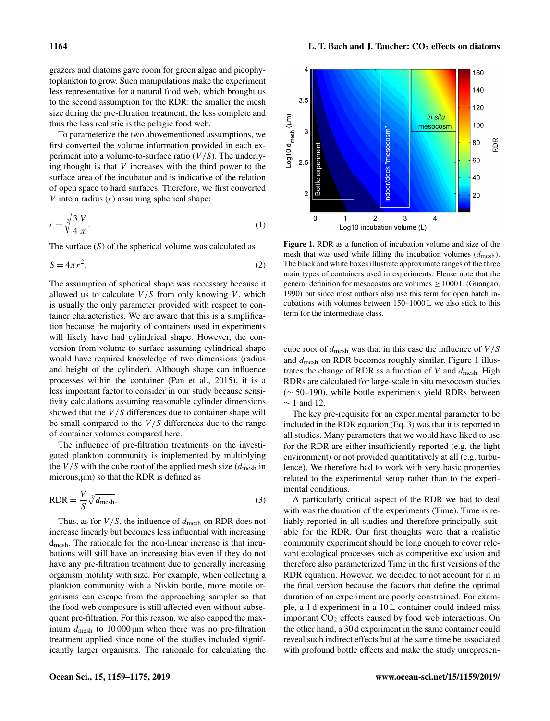grazers and diatoms gave room for green algae and picophytoplankton to grow. Such manipulations make the experiment less representative for a natural food web, which brought us to the second assumption for the RDR: the smaller the mesh size during the pre-filtration treatment, the less complete and thus the less realistic is the pelagic food web.

To parameterize the two abovementioned assumptions, we first converted the volume information provided in each experiment into a volume-to-surface ratio  $(V/S)$ . The underlying thought is that  $V$  increases with the third power to the surface area of the incubator and is indicative of the relation of open space to hard surfaces. Therefore, we first converted  $V$  into a radius  $(r)$  assuming spherical shape:

$$
r = \sqrt[3]{\frac{3 V}{4 \pi}}.\tag{1}
$$

The surface  $(S)$  of the spherical volume was calculated as

$$
S = 4\pi r^2. \tag{2}
$$

The assumption of spherical shape was necessary because it allowed us to calculate  $V/S$  from only knowing V, which is usually the only parameter provided with respect to container characteristics. We are aware that this is a simplification because the majority of containers used in experiments will likely have had cylindrical shape. However, the conversion from volume to surface assuming cylindrical shape would have required knowledge of two dimensions (radius and height of the cylinder). Although shape can influence processes within the container (Pan et al., 2015), it is a less important factor to consider in our study because sensitivity calculations assuming reasonable cylinder dimensions showed that the  $V/S$  differences due to container shape will be small compared to the  $V/S$  differences due to the range of container volumes compared here.

The influence of pre-filtration treatments on the investigated plankton community is implemented by multiplying the  $V/S$  with the cube root of the applied mesh size ( $d_{\text{mesh}}$  in microns,µm) so that the RDR is defined as

$$
RDR = \frac{V}{S} \sqrt[3]{d_{\text{mesh}}}.
$$
\n(3)

Thus, as for  $V/S$ , the influence of  $d_{\text{mesh}}$  on RDR does not increase linearly but becomes less influential with increasing dmesh. The rationale for the non-linear increase is that incubations will still have an increasing bias even if they do not have any pre-filtration treatment due to generally increasing organism motility with size. For example, when collecting a plankton community with a Niskin bottle, more motile organisms can escape from the approaching sampler so that the food web composure is still affected even without subsequent pre-filtration. For this reason, we also capped the maximum  $d_{\text{mesh}}$  to 10 000 µm when there was no pre-filtration treatment applied since none of the studies included significantly larger organisms. The rationale for calculating the



Figure 1. RDR as a function of incubation volume and size of the mesh that was used while filling the incubation volumes  $(d_{\text{mesh}})$ . The black and white boxes illustrate approximate ranges of the three main types of containers used in experiments. Please note that the general definition for mesocosms are volumes  $\geq 1000$  L (Guangao, 1990) but since most authors also use this term for open batch incubations with volumes between 150–1000 L we also stick to this term for the intermediate class.

cube root of  $d_{\text{mesh}}$  was that in this case the influence of  $V/S$ and  $d_{\text{mesh}}$  on RDR becomes roughly similar. Figure 1 illustrates the change of RDR as a function of  $V$  and  $d$ <sub>mesh</sub>. High RDRs are calculated for large-scale in situ mesocosm studies (∼ 50–190), while bottle experiments yield RDRs between  $\sim$  1 and 12.

The key pre-requisite for an experimental parameter to be included in the RDR equation (Eq. 3) was that it is reported in all studies. Many parameters that we would have liked to use for the RDR are either insufficiently reported (e.g. the light environment) or not provided quantitatively at all (e.g. turbulence). We therefore had to work with very basic properties related to the experimental setup rather than to the experimental conditions.

A particularly critical aspect of the RDR we had to deal with was the duration of the experiments (Time). Time is reliably reported in all studies and therefore principally suitable for the RDR. Our first thoughts were that a realistic community experiment should be long enough to cover relevant ecological processes such as competitive exclusion and therefore also parameterized Time in the first versions of the RDR equation. However, we decided to not account for it in the final version because the factors that define the optimal duration of an experiment are poorly constrained. For example, a 1 d experiment in a 10 L container could indeed miss important  $CO<sub>2</sub>$  effects caused by food web interactions. On the other hand, a 30 d experiment in the same container could reveal such indirect effects but at the same time be associated with profound bottle effects and make the study unrepresen-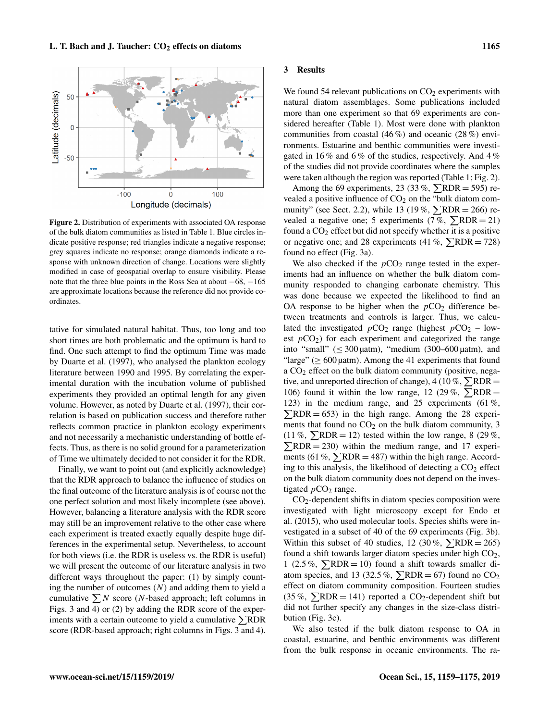

Figure 2. Distribution of experiments with associated OA response of the bulk diatom communities as listed in Table 1. Blue circles indicate positive response; red triangles indicate a negative response; grey squares indicate no response; orange diamonds indicate a response with unknown direction of change. Locations were slightly modified in case of geospatial overlap to ensure visibility. Please note that the three blue points in the Ross Sea at about −68, −165 are approximate locations because the reference did not provide coordinates.

tative for simulated natural habitat. Thus, too long and too short times are both problematic and the optimum is hard to find. One such attempt to find the optimum Time was made by Duarte et al. (1997), who analysed the plankton ecology literature between 1990 and 1995. By correlating the experimental duration with the incubation volume of published experiments they provided an optimal length for any given volume. However, as noted by Duarte et al. (1997), their correlation is based on publication success and therefore rather reflects common practice in plankton ecology experiments and not necessarily a mechanistic understanding of bottle effects. Thus, as there is no solid ground for a parameterization of Time we ultimately decided to not consider it for the RDR.

Finally, we want to point out (and explicitly acknowledge) that the RDR approach to balance the influence of studies on the final outcome of the literature analysis is of course not the one perfect solution and most likely incomplete (see above). However, balancing a literature analysis with the RDR score may still be an improvement relative to the other case where each experiment is treated exactly equally despite huge differences in the experimental setup. Nevertheless, to account for both views (i.e. the RDR is useless vs. the RDR is useful) we will present the outcome of our literature analysis in two different ways throughout the paper: (1) by simply counting the number of outcomes  $(N)$  and adding them to yield a cumulative  $\sum N$  score (N-based approach; left columns in Figs. 3 and 4) or (2) by adding the RDR score of the experiments with a certain outcome to yield a cumulative  $\Sigma$ RDR score (RDR-based approach; right columns in Figs. 3 and 4).

#### 3 Results

We found 54 relevant publications on  $CO<sub>2</sub>$  experiments with natural diatom assemblages. Some publications included more than one experiment so that 69 experiments are considered hereafter (Table 1). Most were done with plankton communities from coastal  $(46\%)$  and oceanic  $(28\%)$  environments. Estuarine and benthic communities were investigated in 16 % and 6 % of the studies, respectively. And 4 % of the studies did not provide coordinates where the samples were taken although the region was reported (Table 1; Fig. 2).

Among the 69 experiments, 23 (33 %,  $\nabla RDR = 595$ ) revealed a positive influence of  $CO<sub>2</sub>$  on the "bulk diatom community" (see Sect. 2.2), while 13 (19%,  $\Sigma RDR = 266$ ) revealed a negative one; 5 experiments (7%,  $\sum RDR = 21$ ) found a  $CO<sub>2</sub>$  effect but did not specify whether it is a positive or negative one; and 28 experiments (41 %,  $\Sigma RDR = 728$ ) found no effect (Fig. 3a).

We also checked if the  $pCO<sub>2</sub>$  range tested in the experiments had an influence on whether the bulk diatom community responded to changing carbonate chemistry. This was done because we expected the likelihood to find an OA response to be higher when the  $pCO<sub>2</sub>$  difference between treatments and controls is larger. Thus, we calculated the investigated  $pCO_2$  range (highest  $pCO_2$  – lowest  $pCO<sub>2</sub>$ ) for each experiment and categorized the range into "small" ( $\leq 300 \mu$ atm), "medium (300–600  $\mu$ atm), and "large" ( $\geq 600$  µatm). Among the 41 experiments that found a CO<sup>2</sup> effect on the bulk diatom community (positive, negative, and unreported direction of change), 4 (10 %,  $\Sigma RDR =$ 106) found it within the low range, 12 (29%,  $\Sigma RDR =$ 123) in the medium range, and 25 experiments (61 %,  $\sum RDR = 653$  in the high range. Among the 28 experiments that found no  $CO<sub>2</sub>$  on the bulk diatom community, 3  $(11\%, \Sigma RDR = 12)$  tested within the low range, 8 (29%,  $\Sigma RDR = 230$ ) within the medium range, and 17 experiments (61 %,  $\Sigma$ RDR = 487) within the high range. According to this analysis, the likelihood of detecting a  $CO<sub>2</sub>$  effect on the bulk diatom community does not depend on the investigated  $pCO<sub>2</sub>$  range.

CO2-dependent shifts in diatom species composition were investigated with light microscopy except for Endo et al. (2015), who used molecular tools. Species shifts were investigated in a subset of 40 of the 69 experiments (Fig. 3b). Within this subset of 40 studies, 12 (30%,  $\Sigma$ RDR = 265) found a shift towards larger diatom species under high  $CO<sub>2</sub>$ , 1 (2.5%,  $\sum RDR = 10$ ) found a shift towards smaller diatom species, and 13 (32.5 %,  $\Sigma RDR = 67$ ) found no CO<sub>2</sub> effect on diatom community composition. Fourteen studies  $(35\%, \Sigma$ RDR = 141) reported a CO<sub>2</sub>-dependent shift but did not further specify any changes in the size-class distribution (Fig. 3c).

We also tested if the bulk diatom response to OA in coastal, estuarine, and benthic environments was different from the bulk response in oceanic environments. The ra-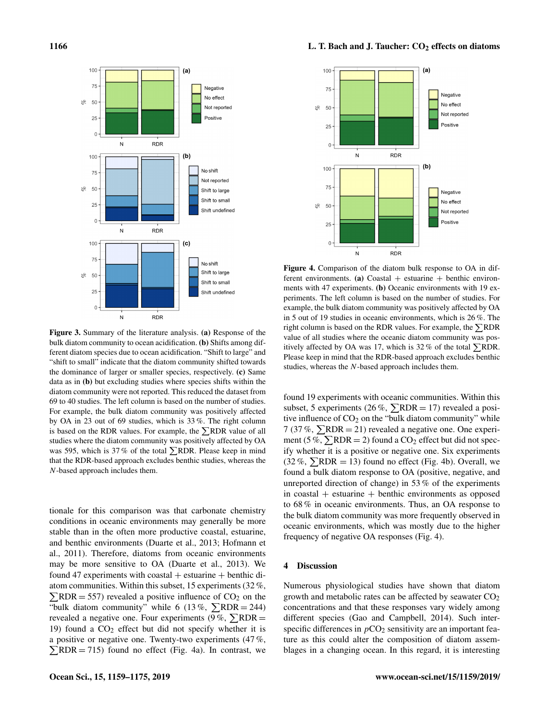

Figure 3. Summary of the literature analysis. (a) Response of the bulk diatom community to ocean acidification. (b) Shifts among different diatom species due to ocean acidification. "Shift to large" and "shift to small" indicate that the diatom community shifted towards the dominance of larger or smaller species, respectively. (c) Same data as in (b) but excluding studies where species shifts within the diatom community were not reported. This reduced the dataset from 69 to 40 studies. The left column is based on the number of studies. For example, the bulk diatom community was positively affected by OA in 23 out of 69 studies, which is 33 %. The right column is based on the RDR values. For example, the  $\Sigma$ RDR value of all studies where the diatom community was positively affected by OA was 595, which is 37% of the total  $\Sigma$ RDR. Please keep in mind that the RDR-based approach excludes benthic studies, whereas the N-based approach includes them.

tionale for this comparison was that carbonate chemistry conditions in oceanic environments may generally be more stable than in the often more productive coastal, estuarine, and benthic environments (Duarte et al., 2013; Hofmann et al., 2011). Therefore, diatoms from oceanic environments may be more sensitive to OA (Duarte et al., 2013). We found 47 experiments with coastal  $+$  estuarine  $+$  benthic diatom communities. Within this subset, 15 experiments (32 %,  $\sum$ RDR = 557) revealed a positive influence of CO<sub>2</sub> on the "bulk diatom community" while 6 (13%,  $\Sigma RDR = 244$ ) revealed a negative one. Four experiments (9%,  $\Sigma RDR =$ 19) found a  $CO<sub>2</sub>$  effect but did not specify whether it is a positive or negative one. Twenty-two experiments (47 %,  $\sum RDR = 715$ ) found no effect (Fig. 4a). In contrast, we



Figure 4. Comparison of the diatom bulk response to OA in different environments. (a) Coastal  $+$  estuarine  $+$  benthic environments with 47 experiments. (b) Oceanic environments with 19 experiments. The left column is based on the number of studies. For example, the bulk diatom community was positively affected by OA in 5 out of 19 studies in oceanic environments, which is 26 %. The right column is based on the RDR values. For example, the  $\nabla RDR$ value of all studies where the oceanic diatom community was positively affected by OA was 17, which is 32% of the total  $\Sigma$ RDR. Please keep in mind that the RDR-based approach excludes benthic studies, whereas the N-based approach includes them.

found 19 experiments with oceanic communities. Within this subset, 5 experiments (26%,  $\Sigma RDR = 17$ ) revealed a positive influence of  $CO<sub>2</sub>$  on the "bulk diatom community" while 7 (37 %,  $\sum$ RDR = 21) revealed a negative one. One experiment (5 %,  $\Sigma RDR = 2$ ) found a CO<sub>2</sub> effect but did not specify whether it is a positive or negative one. Six experiments  $(32\%, \Sigma)$ RDR = 13) found no effect (Fig. 4b). Overall, we found a bulk diatom response to OA (positive, negative, and unreported direction of change) in 53 % of the experiments in coastal  $+$  estuarine  $+$  benthic environments as opposed to 68 % in oceanic environments. Thus, an OA response to the bulk diatom community was more frequently observed in oceanic environments, which was mostly due to the higher frequency of negative OA responses (Fig. 4).

## 4 Discussion

Numerous physiological studies have shown that diatom growth and metabolic rates can be affected by seawater  $CO<sub>2</sub>$ concentrations and that these responses vary widely among different species (Gao and Campbell, 2014). Such interspecific differences in  $pCO<sub>2</sub>$  sensitivity are an important feature as this could alter the composition of diatom assemblages in a changing ocean. In this regard, it is interesting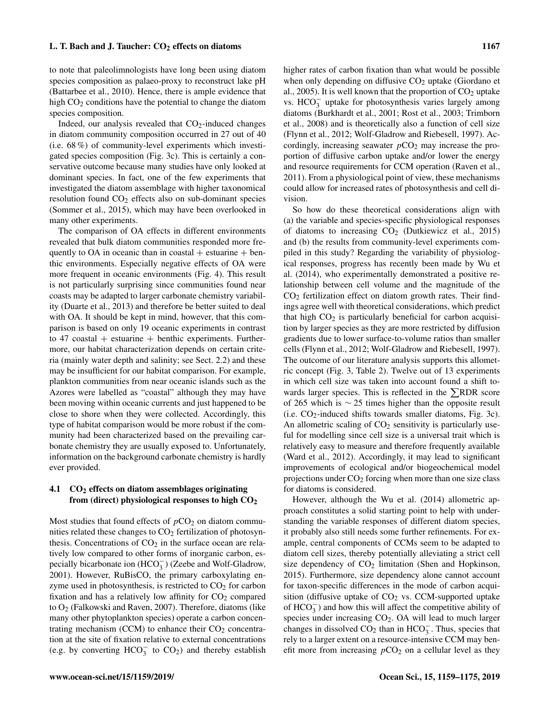to note that paleolimnologists have long been using diatom species composition as palaeo-proxy to reconstruct lake pH (Battarbee et al., 2010). Hence, there is ample evidence that high  $CO<sub>2</sub>$  conditions have the potential to change the diatom species composition.

Indeed, our analysis revealed that  $CO<sub>2</sub>$ -induced changes in diatom community composition occurred in 27 out of 40 (i.e. 68 %) of community-level experiments which investigated species composition (Fig. 3c). This is certainly a conservative outcome because many studies have only looked at dominant species. In fact, one of the few experiments that investigated the diatom assemblage with higher taxonomical resolution found  $CO<sub>2</sub>$  effects also on sub-dominant species (Sommer et al., 2015), which may have been overlooked in many other experiments.

The comparison of OA effects in different environments revealed that bulk diatom communities responded more frequently to OA in oceanic than in coastal  $+$  estuarine  $+$  benthic environments. Especially negative effects of OA were more frequent in oceanic environments (Fig. 4). This result is not particularly surprising since communities found near coasts may be adapted to larger carbonate chemistry variability (Duarte et al., 2013) and therefore be better suited to deal with OA. It should be kept in mind, however, that this comparison is based on only 19 oceanic experiments in contrast to 47 coastal  $+$  estuarine  $+$  benthic experiments. Furthermore, our habitat characterization depends on certain criteria (mainly water depth and salinity; see Sect. 2.2) and these may be insufficient for our habitat comparison. For example, plankton communities from near oceanic islands such as the Azores were labelled as "coastal" although they may have been moving within oceanic currents and just happened to be close to shore when they were collected. Accordingly, this type of habitat comparison would be more robust if the community had been characterized based on the prevailing carbonate chemistry they are usually exposed to. Unfortunately, information on the background carbonate chemistry is hardly ever provided.

## 4.1  $CO<sub>2</sub>$  effects on diatom assemblages originating from (direct) physiological responses to high  $CO<sub>2</sub>$

Most studies that found effects of  $pCO<sub>2</sub>$  on diatom communities related these changes to  $CO<sub>2</sub>$  fertilization of photosynthesis. Concentrations of  $CO<sub>2</sub>$  in the surface ocean are relatively low compared to other forms of inorganic carbon, especially bicarbonate ion  $(HCO<sub>3</sub><sup>-</sup>)$  (Zeebe and Wolf-Gladrow, 2001). However, RuBisCO, the primary carboxylating enzyme used in photosynthesis, is restricted to  $CO<sub>2</sub>$  for carbon fixation and has a relatively low affinity for  $CO<sub>2</sub>$  compared to O<sup>2</sup> (Falkowski and Raven, 2007). Therefore, diatoms (like many other phytoplankton species) operate a carbon concentrating mechanism (CCM) to enhance their  $CO<sub>2</sub>$  concentration at the site of fixation relative to external concentrations (e.g. by converting  $HCO_3^-$  to  $CO_2$ ) and thereby establish

higher rates of carbon fixation than what would be possible when only depending on diffusive  $CO<sub>2</sub>$  uptake (Giordano et al., 2005). It is well known that the proportion of  $CO<sub>2</sub>$  uptake vs. HCO<sub>3</sub> uptake for photosynthesis varies largely among diatoms (Burkhardt et al., 2001; Rost et al., 2003; Trimborn et al., 2008) and is theoretically also a function of cell size (Flynn et al., 2012; Wolf-Gladrow and Riebesell, 1997). Accordingly, increasing seawater  $pCO<sub>2</sub>$  may increase the proportion of diffusive carbon uptake and/or lower the energy and resource requirements for CCM operation (Raven et al., 2011). From a physiological point of view, these mechanisms could allow for increased rates of photosynthesis and cell division.

So how do these theoretical considerations align with (a) the variable and species-specific physiological responses of diatoms to increasing  $CO<sub>2</sub>$  (Dutkiewicz et al., 2015) and (b) the results from community-level experiments compiled in this study? Regarding the variability of physiological responses, progress has recently been made by Wu et al. (2014), who experimentally demonstrated a positive relationship between cell volume and the magnitude of the  $CO<sub>2</sub>$  fertilization effect on diatom growth rates. Their findings agree well with theoretical considerations, which predict that high  $CO<sub>2</sub>$  is particularly beneficial for carbon acquisition by larger species as they are more restricted by diffusion gradients due to lower surface-to-volume ratios than smaller cells (Flynn et al., 2012; Wolf-Gladrow and Riebesell, 1997). The outcome of our literature analysis supports this allometric concept (Fig. 3, Table 2). Twelve out of 13 experiments in which cell size was taken into account found a shift towards larger species. This is reflected in the  $\sum RDR$  score of 265 which is  $\sim$  25 times higher than the opposite result  $(i.e. CO<sub>2</sub>-induced shifts towards smaller diatoms, Fig. 3c).$ An allometric scaling of  $CO<sub>2</sub>$  sensitivity is particularly useful for modelling since cell size is a universal trait which is relatively easy to measure and therefore frequently available (Ward et al., 2012). Accordingly, it may lead to significant improvements of ecological and/or biogeochemical model projections under  $CO<sub>2</sub>$  forcing when more than one size class for diatoms is considered.

However, although the Wu et al. (2014) allometric approach constitutes a solid starting point to help with understanding the variable responses of different diatom species, it probably also still needs some further refinements. For example, central components of CCMs seem to be adapted to diatom cell sizes, thereby potentially alleviating a strict cell size dependency of  $CO<sub>2</sub>$  limitation (Shen and Hopkinson, 2015). Furthermore, size dependency alone cannot account for taxon-specific differences in the mode of carbon acquisition (diffusive uptake of  $CO<sub>2</sub>$  vs. CCM-supported uptake of  $HCO_3^-$ ) and how this will affect the competitive ability of species under increasing  $CO<sub>2</sub>$ . OA will lead to much larger changes in dissolved  $CO_2$  than in HCO<sub>3</sub>. Thus, species that rely to a larger extent on a resource-intensive CCM may benefit more from increasing  $pCO<sub>2</sub>$  on a cellular level as they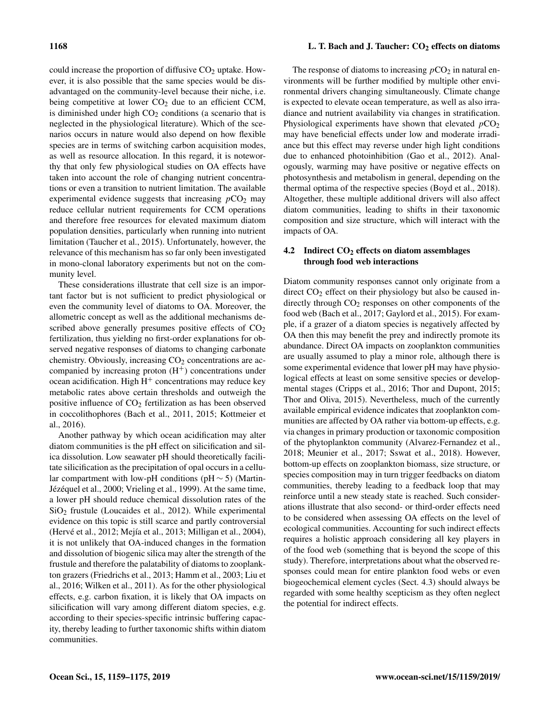could increase the proportion of diffusive  $CO<sub>2</sub>$  uptake. However, it is also possible that the same species would be disadvantaged on the community-level because their niche, i.e. being competitive at lower  $CO<sub>2</sub>$  due to an efficient CCM, is diminished under high  $CO<sub>2</sub>$  conditions (a scenario that is neglected in the physiological literature). Which of the scenarios occurs in nature would also depend on how flexible species are in terms of switching carbon acquisition modes, as well as resource allocation. In this regard, it is noteworthy that only few physiological studies on OA effects have taken into account the role of changing nutrient concentrations or even a transition to nutrient limitation. The available experimental evidence suggests that increasing  $pCO<sub>2</sub>$  may reduce cellular nutrient requirements for CCM operations and therefore free resources for elevated maximum diatom population densities, particularly when running into nutrient limitation (Taucher et al., 2015). Unfortunately, however, the relevance of this mechanism has so far only been investigated in mono-clonal laboratory experiments but not on the community level.

These considerations illustrate that cell size is an important factor but is not sufficient to predict physiological or even the community level of diatoms to OA. Moreover, the allometric concept as well as the additional mechanisms described above generally presumes positive effects of  $CO<sub>2</sub>$ fertilization, thus yielding no first-order explanations for observed negative responses of diatoms to changing carbonate chemistry. Obviously, increasing  $CO<sub>2</sub>$  concentrations are accompanied by increasing proton  $(H<sup>+</sup>)$  concentrations under ocean acidification. High  $H^+$  concentrations may reduce key metabolic rates above certain thresholds and outweigh the positive influence of  $CO<sub>2</sub>$  fertilization as has been observed in coccolithophores (Bach et al., 2011, 2015; Kottmeier et al., 2016).

Another pathway by which ocean acidification may alter diatom communities is the pH effect on silicification and silica dissolution. Low seawater pH should theoretically facilitate silicification as the precipitation of opal occurs in a cellular compartment with low-pH conditions (pH ∼ 5) (Martin-Jézéquel et al., 2000; Vrieling et al., 1999). At the same time, a lower pH should reduce chemical dissolution rates of the SiO<sup>2</sup> frustule (Loucaides et al., 2012). While experimental evidence on this topic is still scarce and partly controversial (Hervé et al., 2012; Mejía et al., 2013; Milligan et al., 2004), it is not unlikely that OA-induced changes in the formation and dissolution of biogenic silica may alter the strength of the frustule and therefore the palatability of diatoms to zooplankton grazers (Friedrichs et al., 2013; Hamm et al., 2003; Liu et al., 2016; Wilken et al., 2011). As for the other physiological effects, e.g. carbon fixation, it is likely that OA impacts on silicification will vary among different diatom species, e.g. according to their species-specific intrinsic buffering capacity, thereby leading to further taxonomic shifts within diatom communities.

## 1168 L. T. Bach and J. Taucher: CO<sub>2</sub> effects on diatoms

The response of diatoms to increasing  $pCO<sub>2</sub>$  in natural environments will be further modified by multiple other environmental drivers changing simultaneously. Climate change is expected to elevate ocean temperature, as well as also irradiance and nutrient availability via changes in stratification. Physiological experiments have shown that elevated  $pCO<sub>2</sub>$ may have beneficial effects under low and moderate irradiance but this effect may reverse under high light conditions due to enhanced photoinhibition (Gao et al., 2012). Analogously, warming may have positive or negative effects on photosynthesis and metabolism in general, depending on the thermal optima of the respective species (Boyd et al., 2018). Altogether, these multiple additional drivers will also affect diatom communities, leading to shifts in their taxonomic composition and size structure, which will interact with the impacts of OA.

## 4.2 Indirect  $CO<sub>2</sub>$  effects on diatom assemblages through food web interactions

Diatom community responses cannot only originate from a direct  $CO<sub>2</sub>$  effect on their physiology but also be caused indirectly through  $CO<sub>2</sub>$  responses on other components of the food web (Bach et al., 2017; Gaylord et al., 2015). For example, if a grazer of a diatom species is negatively affected by OA then this may benefit the prey and indirectly promote its abundance. Direct OA impacts on zooplankton communities are usually assumed to play a minor role, although there is some experimental evidence that lower pH may have physiological effects at least on some sensitive species or developmental stages (Cripps et al., 2016; Thor and Dupont, 2015; Thor and Oliva, 2015). Nevertheless, much of the currently available empirical evidence indicates that zooplankton communities are affected by OA rather via bottom-up effects, e.g. via changes in primary production or taxonomic composition of the phytoplankton community (Alvarez-Fernandez et al., 2018; Meunier et al., 2017; Sswat et al., 2018). However, bottom-up effects on zooplankton biomass, size structure, or species composition may in turn trigger feedbacks on diatom communities, thereby leading to a feedback loop that may reinforce until a new steady state is reached. Such considerations illustrate that also second- or third-order effects need to be considered when assessing OA effects on the level of ecological communities. Accounting for such indirect effects requires a holistic approach considering all key players in of the food web (something that is beyond the scope of this study). Therefore, interpretations about what the observed responses could mean for entire plankton food webs or even biogeochemical element cycles (Sect. 4.3) should always be regarded with some healthy scepticism as they often neglect the potential for indirect effects.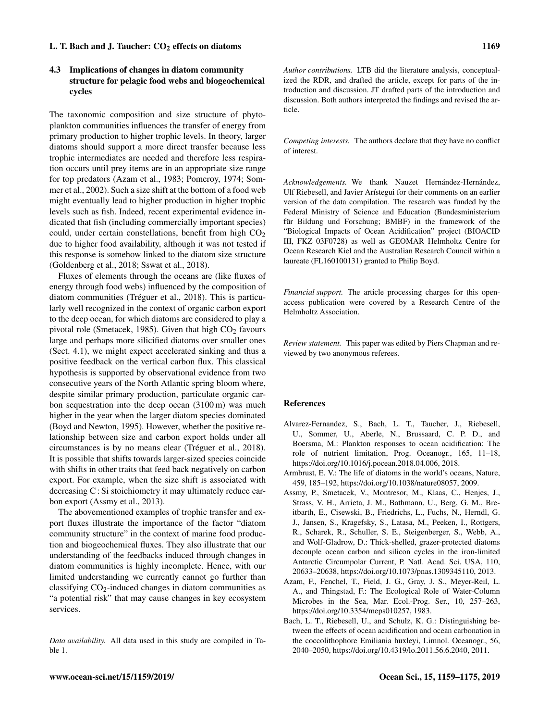## 4.3 Implications of changes in diatom community structure for pelagic food webs and biogeochemical cycles

The taxonomic composition and size structure of phytoplankton communities influences the transfer of energy from primary production to higher trophic levels. In theory, larger diatoms should support a more direct transfer because less trophic intermediates are needed and therefore less respiration occurs until prey items are in an appropriate size range for top predators (Azam et al., 1983; Pomeroy, 1974; Sommer et al., 2002). Such a size shift at the bottom of a food web might eventually lead to higher production in higher trophic levels such as fish. Indeed, recent experimental evidence indicated that fish (including commercially important species) could, under certain constellations, benefit from high  $CO<sub>2</sub>$ due to higher food availability, although it was not tested if this response is somehow linked to the diatom size structure (Goldenberg et al., 2018; Sswat et al., 2018).

Fluxes of elements through the oceans are (like fluxes of energy through food webs) influenced by the composition of diatom communities (Tréguer et al., 2018). This is particularly well recognized in the context of organic carbon export to the deep ocean, for which diatoms are considered to play a pivotal role (Smetacek, 1985). Given that high  $CO<sub>2</sub>$  favours large and perhaps more silicified diatoms over smaller ones (Sect. 4.1), we might expect accelerated sinking and thus a positive feedback on the vertical carbon flux. This classical hypothesis is supported by observational evidence from two consecutive years of the North Atlantic spring bloom where, despite similar primary production, particulate organic carbon sequestration into the deep ocean (3100 m) was much higher in the year when the larger diatom species dominated (Boyd and Newton, 1995). However, whether the positive relationship between size and carbon export holds under all circumstances is by no means clear (Tréguer et al., 2018). It is possible that shifts towards larger-sized species coincide with shifts in other traits that feed back negatively on carbon export. For example, when the size shift is associated with decreasing C : Si stoichiometry it may ultimately reduce carbon export (Assmy et al., 2013).

The abovementioned examples of trophic transfer and export fluxes illustrate the importance of the factor "diatom community structure" in the context of marine food production and biogeochemical fluxes. They also illustrate that our understanding of the feedbacks induced through changes in diatom communities is highly incomplete. Hence, with our limited understanding we currently cannot go further than classifying CO2-induced changes in diatom communities as "a potential risk" that may cause changes in key ecosystem services.

*Data availability.* All data used in this study are compiled in Table 1.

*Author contributions.* LTB did the literature analysis, conceptualized the RDR, and drafted the article, except for parts of the introduction and discussion. JT drafted parts of the introduction and discussion. Both authors interpreted the findings and revised the article.

*Competing interests.* The authors declare that they have no conflict of interest.

*Acknowledgements.* We thank Nauzet Hernández-Hernández, Ulf Riebesell, and Javier Arístegui for their comments on an earlier version of the data compilation. The research was funded by the Federal Ministry of Science and Education (Bundesministerium für Bildung und Forschung; BMBF) in the framework of the "Biological Impacts of Ocean Acidification" project (BIOACID III, FKZ 03F0728) as well as GEOMAR Helmholtz Centre for Ocean Research Kiel and the Australian Research Council within a laureate (FL160100131) granted to Philip Boyd.

*Financial support.* The article processing charges for this openaccess publication were covered by a Research Centre of the Helmholtz Association.

*Review statement.* This paper was edited by Piers Chapman and reviewed by two anonymous referees.

### References

- Alvarez-Fernandez, S., Bach, L. T., Taucher, J., Riebesell, U., Sommer, U., Aberle, N., Brussaard, C. P. D., and Boersma, M.: Plankton responses to ocean acidification: The role of nutrient limitation, Prog. Oceanogr., 165, 11–18, https://doi.org[/10.1016/j.pocean.2018.04.006,](https://doi.org/10.1016/j.pocean.2018.04.006) 2018.
- Armbrust, E. V.: The life of diatoms in the world's oceans, Nature, 459, 185–192, https://doi.org[/10.1038/nature08057,](https://doi.org/10.1038/nature08057) 2009.
- Assmy, P., Smetacek, V., Montresor, M., Klaas, C., Henjes, J., Strass, V. H., Arrieta, J. M., Bathmann, U., Berg, G. M., Breitbarth, E., Cisewski, B., Friedrichs, L., Fuchs, N., Herndl, G. J., Jansen, S., Kragefsky, S., Latasa, M., Peeken, I., Rottgers, R., Scharek, R., Schuller, S. E., Steigenberger, S., Webb, A., and Wolf-Gladrow, D.: Thick-shelled, grazer-protected diatoms decouple ocean carbon and silicon cycles in the iron-limited Antarctic Circumpolar Current, P. Natl. Acad. Sci. USA, 110, 20633–20638, https://doi.org[/10.1073/pnas.1309345110,](https://doi.org/10.1073/pnas.1309345110) 2013.
- Azam, F., Fenchel, T., Field, J. G., Gray, J. S., Meyer-Reil, L. A., and Thingstad, F.: The Ecological Role of Water-Column Microbes in the Sea, Mar. Ecol.-Prog. Ser., 10, 257–263, https://doi.org[/10.3354/meps010257,](https://doi.org/10.3354/meps010257) 1983.
- Bach, L. T., Riebesell, U., and Schulz, K. G.: Distinguishing between the effects of ocean acidification and ocean carbonation in the coccolithophore Emiliania huxleyi, Limnol. Oceanogr., 56, 2040–2050, https://doi.org[/10.4319/lo.2011.56.6.2040,](https://doi.org/10.4319/lo.2011.56.6.2040) 2011.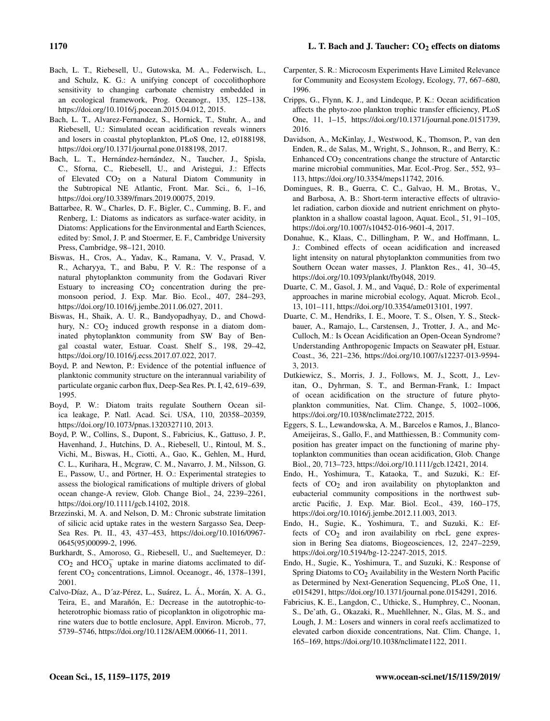- Bach, L. T., Riebesell, U., Gutowska, M. A., Federwisch, L., and Schulz, K. G.: A unifying concept of coccolithophore sensitivity to changing carbonate chemistry embedded in an ecological framework, Prog. Oceanogr., 135, 125–138, https://doi.org[/10.1016/j.pocean.2015.04.012,](https://doi.org/10.1016/j.pocean.2015.04.012) 2015.
- Bach, L. T., Alvarez-Fernandez, S., Hornick, T., Stuhr, A., and Riebesell, U.: Simulated ocean acidification reveals winners and losers in coastal phytoplankton, PLoS One, 12, e0188198, https://doi.org[/10.1371/journal.pone.0188198,](https://doi.org/10.1371/journal.pone.0188198) 2017.
- Bach, L. T., Hernández-hernández, N., Taucher, J., Spisla, C., Sforna, C., Riebesell, U., and Aristegui, J.: Effects of Elevated  $CO<sub>2</sub>$  on a Natural Diatom Community in the Subtropical NE Atlantic, Front. Mar. Sci., 6, 1–16, https://doi.org[/10.3389/fmars.2019.00075,](https://doi.org/10.3389/fmars.2019.00075) 2019.
- Battarbee, R. W., Charles, D. F., Bigler, C., Cumming, B. F., and Renberg, I.: Diatoms as indicators as surface-water acidity, in Diatoms: Applications for the Environmental and Earth Sciences, edited by: Smol, J. P. and Stoermer, E. F., Cambridge University Press, Cambridge, 98–121, 2010.
- Biswas, H., Cros, A., Yadav, K., Ramana, V. V., Prasad, V. R., Acharyya, T., and Babu, P. V. R.: The response of a natural phytoplankton community from the Godavari River Estuary to increasing  $CO<sub>2</sub>$  concentration during the premonsoon period, J. Exp. Mar. Bio. Ecol., 407, 284–293, https://doi.org[/10.1016/j.jembe.2011.06.027,](https://doi.org/10.1016/j.jembe.2011.06.027) 2011.
- Biswas, H., Shaik, A. U. R., Bandyopadhyay, D., and Chowdhury, N.:  $CO<sub>2</sub>$  induced growth response in a diatom dominated phytoplankton community from SW Bay of Bengal coastal water, Estuar. Coast. Shelf S., 198, 29–42, https://doi.org[/10.1016/j.ecss.2017.07.022,](https://doi.org/10.1016/j.ecss.2017.07.022) 2017.
- Boyd, P. and Newton, P.: Evidence of the potential influence of planktonic community structure on the interannual variability of particulate organic carbon flux, Deep-Sea Res. Pt. I, 42, 619–639, 1995.
- Boyd, P. W.: Diatom traits regulate Southern Ocean silica leakage, P. Natl. Acad. Sci. USA, 110, 20358–20359, https://doi.org[/10.1073/pnas.1320327110,](https://doi.org/10.1073/pnas.1320327110) 2013.
- Boyd, P. W., Collins, S., Dupont, S., Fabricius, K., Gattuso, J. P., Havenhand, J., Hutchins, D. A., Riebesell, U., Rintoul, M. S., Vichi, M., Biswas, H., Ciotti, A., Gao, K., Gehlen, M., Hurd, C. L., Kurihara, H., Mcgraw, C. M., Navarro, J. M., Nilsson, G. E., Passow, U., and Pörtner, H. O.: Experimental strategies to assess the biological ramifications of multiple drivers of global ocean change-A review, Glob. Change Biol., 24, 2239–2261, https://doi.org[/10.1111/gcb.14102,](https://doi.org/10.1111/gcb.14102) 2018.
- Brzezinski, M. A. and Nelson, D. M.: Chronic substrate limitation of silicic acid uptake rates in the western Sargasso Sea, Deep-Sea Res. Pt. II., 43, 437–453, https://doi.org[/10.1016/0967-](https://doi.org/10.1016/0967-0645(95)00099-2) [0645\(95\)00099-2,](https://doi.org/10.1016/0967-0645(95)00099-2) 1996.
- Burkhardt, S., Amoroso, G., Riebesell, U., and Sueltemeyer, D.:  $CO<sub>2</sub>$  and  $HCO<sub>3</sub><sup>-</sup>$  uptake in marine diatoms acclimated to different CO<sub>2</sub> concentrations, Limnol. Oceanogr., 46, 1378-1391, 2001.
- Calvo-Díaz, A., D´az-Pérez, L., Suárez, L. Á., Morán, X. A. G., Teira, E., and Marañón, E.: Decrease in the autotrophic-toheterotrophic biomass ratio of picoplankton in oligotrophic marine waters due to bottle enclosure, Appl. Environ. Microb., 77, 5739–5746, https://doi.org[/10.1128/AEM.00066-11,](https://doi.org/10.1128/AEM.00066-11) 2011.
- Carpenter, S. R.: Microcosm Experiments Have Limited Relevance for Community and Ecosystem Ecology, Ecology, 77, 667–680, 1996.
- Cripps, G., Flynn, K. J., and Lindeque, P. K.: Ocean acidification affects the phyto-zoo plankton trophic transfer efficiency, PLoS One, 11, 1–15, https://doi.org[/10.1371/journal.pone.0151739,](https://doi.org/10.1371/journal.pone.0151739) 2016.
- Davidson, A., McKinlay, J., Westwood, K., Thomson, P., van den Enden, R., de Salas, M., Wright, S., Johnson, R., and Berry, K.: Enhanced CO<sub>2</sub> concentrations change the structure of Antarctic marine microbial communities, Mar. Ecol.-Prog. Ser., 552, 93– 113, https://doi.org[/10.3354/meps11742,](https://doi.org/10.3354/meps11742) 2016.
- Domingues, R. B., Guerra, C. C., Galvao, H. M., Brotas, V., and Barbosa, A. B.: Short-term interactive effects of ultraviolet radiation, carbon dioxide and nutrient enrichment on phytoplankton in a shallow coastal lagoon, Aquat. Ecol., 51, 91–105, https://doi.org[/10.1007/s10452-016-9601-4,](https://doi.org/10.1007/s10452-016-9601-4) 2017.
- Donahue, K., Klaas, C., Dillingham, P. W., and Hoffmann, L. J.: Combined effects of ocean acidification and increased light intensity on natural phytoplankton communities from two Southern Ocean water masses, J. Plankton Res., 41, 30–45, https://doi.org[/10.1093/plankt/fby048,](https://doi.org/10.1093/plankt/fby048) 2019.
- Duarte, C. M., Gasol, J. M., and Vaqué, D.: Role of experimental approaches in marine microbial ecology, Aquat. Microb. Ecol., 13, 101–111, https://doi.org[/10.3354/ame013101,](https://doi.org/10.3354/ame013101) 1997.
- Duarte, C. M., Hendriks, I. E., Moore, T. S., Olsen, Y. S., Steckbauer, A., Ramajo, L., Carstensen, J., Trotter, J. A., and Mc-Culloch, M.: Is Ocean Acidification an Open-Ocean Syndrome? Understanding Anthropogenic Impacts on Seawater pH, Estuar. Coast., 36, 221–236, https://doi.org[/10.1007/s12237-013-9594-](https://doi.org/10.1007/s12237-013-9594-3) [3,](https://doi.org/10.1007/s12237-013-9594-3) 2013.
- Dutkiewicz, S., Morris, J. J., Follows, M. J., Scott, J., Levitan, O., Dyhrman, S. T., and Berman-Frank, I.: Impact of ocean acidification on the structure of future phytoplankton communities, Nat. Clim. Change, 5, 1002–1006, https://doi.org[/10.1038/nclimate2722,](https://doi.org/10.1038/nclimate2722) 2015.
- Eggers, S. L., Lewandowska, A. M., Barcelos e Ramos, J., Blanco-Ameijeiras, S., Gallo, F., and Matthiessen, B.: Community composition has greater impact on the functioning of marine phytoplankton communities than ocean acidification, Glob. Change Biol., 20, 713–723, https://doi.org[/10.1111/gcb.12421,](https://doi.org/10.1111/gcb.12421) 2014.
- Endo, H., Yoshimura, T., Kataoka, T., and Suzuki, K.: Effects of  $CO<sub>2</sub>$  and iron availability on phytoplankton and eubacterial community compositions in the northwest subarctic Pacific, J. Exp. Mar. Biol. Ecol., 439, 160–175, https://doi.org[/10.1016/j.jembe.2012.11.003,](https://doi.org/10.1016/j.jembe.2012.11.003) 2013.
- Endo, H., Sugie, K., Yoshimura, T., and Suzuki, K.: Effects of  $CO<sub>2</sub>$  and iron availability on rbcL gene expression in Bering Sea diatoms, Biogeosciences, 12, 2247–2259, https://doi.org[/10.5194/bg-12-2247-2015,](https://doi.org/10.5194/bg-12-2247-2015) 2015.
- Endo, H., Sugie, K., Yoshimura, T., and Suzuki, K.: Response of Spring Diatoms to  $CO<sub>2</sub>$  Availability in the Western North Pacific as Determined by Next-Generation Sequencing, PLoS One, 11, e0154291, https://doi.org[/10.1371/journal.pone.0154291,](https://doi.org/10.1371/journal.pone.0154291) 2016.
- Fabricius, K. E., Langdon, C., Uthicke, S., Humphrey, C., Noonan, S., De'ath, G., Okazaki, R., Muehllehner, N., Glas, M. S., and Lough, J. M.: Losers and winners in coral reefs acclimatized to elevated carbon dioxide concentrations, Nat. Clim. Change, 1, 165–169, https://doi.org[/10.1038/nclimate1122,](https://doi.org/10.1038/nclimate1122) 2011.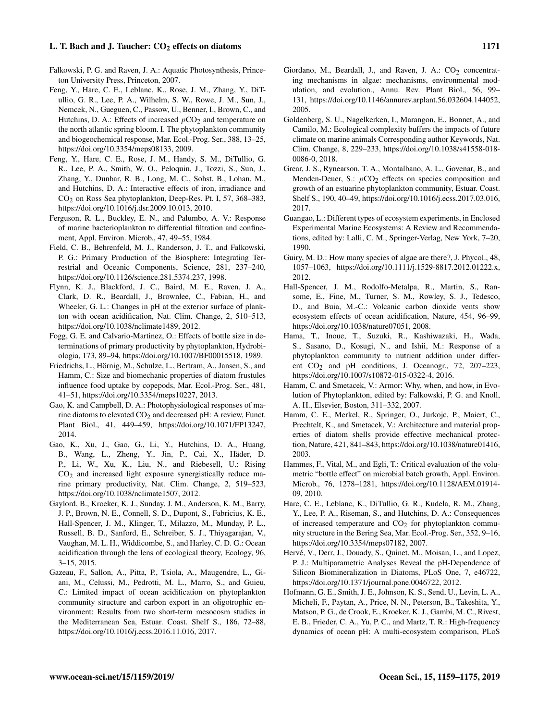- Falkowski, P. G. and Raven, J. A.: Aquatic Photosynthesis, Princeton University Press, Princeton, 2007.
- Feng, Y., Hare, C. E., Leblanc, K., Rose, J. M., Zhang, Y., DiTullio, G. R., Lee, P. A., Wilhelm, S. W., Rowe, J. M., Sun, J., Nemcek, N., Gueguen, C., Passow, U., Benner, I., Brown, C., and Hutchins, D. A.: Effects of increased  $pCO<sub>2</sub>$  and temperature on the north atlantic spring bloom. I. The phytoplankton community and biogeochemical response, Mar. Ecol.-Prog. Ser., 388, 13–25, https://doi.org[/10.3354/meps08133,](https://doi.org/10.3354/meps08133) 2009.
- Feng, Y., Hare, C. E., Rose, J. M., Handy, S. M., DiTullio, G. R., Lee, P. A., Smith, W. O., Peloquin, J., Tozzi, S., Sun, J., Zhang, Y., Dunbar, R. B., Long, M. C., Sohst, B., Lohan, M., and Hutchins, D. A.: Interactive effects of iron, irradiance and CO2 on Ross Sea phytoplankton, Deep-Res. Pt. I, 57, 368–383, https://doi.org[/10.1016/j.dsr.2009.10.013,](https://doi.org/10.1016/j.dsr.2009.10.013) 2010.
- Ferguson, R. L., Buckley, E. N., and Palumbo, A. V.: Response of marine bacterioplankton to differential filtration and confinement, Appl. Environ. Microb., 47, 49–55, 1984.
- Field, C. B., Behrenfeld, M. J., Randerson, J. T., and Falkowski, P. G.: Primary Production of the Biosphere: Integrating Terrestrial and Oceanic Components, Science, 281, 237–240, https://doi.org[/10.1126/science.281.5374.237,](https://doi.org/10.1126/science.281.5374.237) 1998.
- Flynn, K. J., Blackford, J. C., Baird, M. E., Raven, J. A., Clark, D. R., Beardall, J., Brownlee, C., Fabian, H., and Wheeler, G. L.: Changes in pH at the exterior surface of plankton with ocean acidification, Nat. Clim. Change, 2, 510–513, https://doi.org[/10.1038/nclimate1489,](https://doi.org/10.1038/nclimate1489) 2012.
- Fogg, G. E. and Calvario-Martinez, O.: Effects of bottle size in determinations of primary productivity by phytoplankton, Hydrobiologia, 173, 89–94, https://doi.org[/10.1007/BF00015518,](https://doi.org/10.1007/BF00015518) 1989.
- Friedrichs, L., Hörnig, M., Schulze, L., Bertram, A., Jansen, S., and Hamm, C.: Size and biomechanic properties of diatom frustules influence food uptake by copepods, Mar. Ecol.-Prog. Ser., 481, 41–51, https://doi.org[/10.3354/meps10227,](https://doi.org/10.3354/meps10227) 2013.
- Gao, K. and Campbell, D. A.: Photophysiological responses of marine diatoms to elevated CO<sub>2</sub> and decreased pH: A review, Funct. Plant Biol., 41, 449–459, https://doi.org[/10.1071/FP13247,](https://doi.org/10.1071/FP13247) 2014.
- Gao, K., Xu, J., Gao, G., Li, Y., Hutchins, D. A., Huang, B., Wang, L., Zheng, Y., Jin, P., Cai, X., Häder, D. P., Li, W., Xu, K., Liu, N., and Riebesell, U.: Rising  $CO<sub>2</sub>$  and increased light exposure synergistically reduce marine primary productivity, Nat. Clim. Change, 2, 519–523, https://doi.org[/10.1038/nclimate1507,](https://doi.org/10.1038/nclimate1507) 2012.
- Gaylord, B., Kroeker, K. J., Sunday, J. M., Anderson, K. M., Barry, J. P., Brown, N. E., Connell, S. D., Dupont, S., Fabricius, K. E., Hall-Spencer, J. M., Klinger, T., Milazzo, M., Munday, P. L., Russell, B. D., Sanford, E., Schreiber, S. J., Thiyagarajan, V., Vaughan, M. L. H., Widdicombe, S., and Harley, C. D. G.: Ocean acidification through the lens of ecological theory, Ecology, 96, 3–15, 2015.
- Gazeau, F., Sallon, A., Pitta, P., Tsiola, A., Maugendre, L., Giani, M., Celussi, M., Pedrotti, M. L., Marro, S., and Guieu, C.: Limited impact of ocean acidification on phytoplankton community structure and carbon export in an oligotrophic environment: Results from two short-term mesocosm studies in the Mediterranean Sea, Estuar. Coast. Shelf S., 186, 72–88, https://doi.org[/10.1016/j.ecss.2016.11.016,](https://doi.org/10.1016/j.ecss.2016.11.016) 2017.
- Giordano, M., Beardall, J., and Raven, J. A.:  $CO<sub>2</sub>$  concentrating mechanisms in algae: mechanisms, environmental modulation, and evolution., Annu. Rev. Plant Biol., 56, 99– 131, https://doi.org[/10.1146/annurev.arplant.56.032604.144052,](https://doi.org/10.1146/annurev.arplant.56.032604.144052) 2005.
- Goldenberg, S. U., Nagelkerken, I., Marangon, E., Bonnet, A., and Camilo, M.: Ecological complexity buffers the impacts of future climate on marine animals Corresponding author Keywords, Nat. Clim. Change, 8, 229–233, https://doi.org[/10.1038/s41558-018-](https://doi.org/10.1038/s41558-018-0086-0) [0086-0,](https://doi.org/10.1038/s41558-018-0086-0) 2018.
- Grear, J. S., Rynearson, T. A., Montalbano, A. L., Govenar, B., and Menden-Deuer, S.:  $pCO<sub>2</sub>$  effects on species composition and growth of an estuarine phytoplankton community, Estuar. Coast. Shelf S., 190, 40–49, https://doi.org[/10.1016/j.ecss.2017.03.016,](https://doi.org/10.1016/j.ecss.2017.03.016) 2017.
- Guangao, L.: Different types of ecosystem experiments, in Enclosed Experimental Marine Ecosystems: A Review and Recommendations, edited by: Lalli, C. M., Springer-Verlag, New York, 7–20, 1990.
- Guiry, M. D.: How many species of algae are there?, J. Phycol., 48, 1057–1063, https://doi.org[/10.1111/j.1529-8817.2012.01222.x,](https://doi.org/10.1111/j.1529-8817.2012.01222.x) 2012.
- Hall-Spencer, J. M., Rodolfo-Metalpa, R., Martin, S., Ransome, E., Fine, M., Turner, S. M., Rowley, S. J., Tedesco, D., and Buia, M.-C.: Volcanic carbon dioxide vents show ecosystem effects of ocean acidification, Nature, 454, 96–99, https://doi.org[/10.1038/nature07051,](https://doi.org/10.1038/nature07051) 2008.
- Hama, T., Inoue, T., Suzuki, R., Kashiwazaki, H., Wada, S., Sasano, D., Kosugi, N., and Ishii, M.: Response of a phytoplankton community to nutrient addition under different CO<sub>2</sub> and pH conditions, J. Oceanogr., 72, 207-223, https://doi.org[/10.1007/s10872-015-0322-4,](https://doi.org/10.1007/s10872-015-0322-4) 2016.
- Hamm, C. and Smetacek, V.: Armor: Why, when, and how, in Evolution of Phytoplankton, edited by: Falkowski, P. G. and Knoll, A. H., Elsevier, Boston, 311–332, 2007.
- Hamm, C. E., Merkel, R., Springer, O., Jurkojc, P., Maiert, C., Prechtelt, K., and Smetacek, V.: Architecture and material properties of diatom shells provide effective mechanical protection, Nature, 421, 841–843, https://doi.org[/10.1038/nature01416,](https://doi.org/10.1038/nature01416) 2003.
- Hammes, F., Vital, M., and Egli, T.: Critical evaluation of the volumetric "bottle effect" on microbial batch growth, Appl. Environ. Microb., 76, 1278–1281, https://doi.org[/10.1128/AEM.01914-](https://doi.org/10.1128/AEM.01914-09) [09,](https://doi.org/10.1128/AEM.01914-09) 2010.
- Hare, C. E., Leblanc, K., DiTullio, G. R., Kudela, R. M., Zhang, Y., Lee, P. A., Riseman, S., and Hutchins, D. A.: Consequences of increased temperature and  $CO<sub>2</sub>$  for phytoplankton community structure in the Bering Sea, Mar. Ecol.-Prog. Ser., 352, 9–16, https://doi.org[/10.3354/meps07182,](https://doi.org/10.3354/meps07182) 2007.
- Hervé, V., Derr, J., Douady, S., Quinet, M., Moisan, L., and Lopez, P. J.: Multiparametric Analyses Reveal the pH-Dependence of Silicon Biomineralization in Diatoms, PLoS One, 7, e46722, https://doi.org[/10.1371/journal.pone.0046722,](https://doi.org/10.1371/journal.pone.0046722) 2012.
- Hofmann, G. E., Smith, J. E., Johnson, K. S., Send, U., Levin, L. A., Micheli, F., Paytan, A., Price, N. N., Peterson, B., Takeshita, Y., Matson, P. G., de Crook, E., Kroeker, K. J., Gambi, M. C., Rivest, E. B., Frieder, C. A., Yu, P. C., and Martz, T. R.: High-frequency dynamics of ocean pH: A multi-ecosystem comparison, PLoS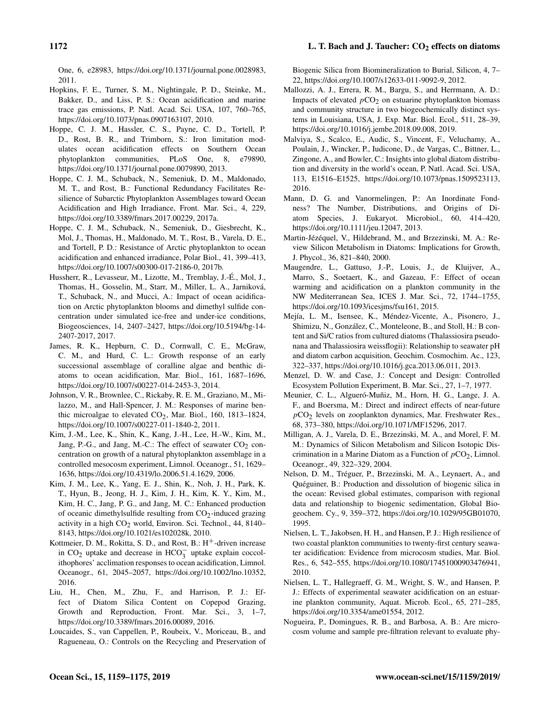One, 6, e28983, https://doi.org[/10.1371/journal.pone.0028983,](https://doi.org/10.1371/journal.pone.0028983) 2011.

- Hopkins, F. E., Turner, S. M., Nightingale, P. D., Steinke, M., Bakker, D., and Liss, P. S.: Ocean acidification and marine trace gas emissions, P. Natl. Acad. Sci. USA, 107, 760–765, https://doi.org[/10.1073/pnas.0907163107,](https://doi.org/10.1073/pnas.0907163107) 2010.
- Hoppe, C. J. M., Hassler, C. S., Payne, C. D., Tortell, P. D., Rost, B. R., and Trimborn, S.: Iron limitation modulates ocean acidification effects on Southern Ocean phytoplankton communities, PLoS One, 8, e79890, https://doi.org[/10.1371/journal.pone.0079890,](https://doi.org/10.1371/journal.pone.0079890) 2013.
- Hoppe, C. J. M., Schuback, N., Semeniuk, D. M., Maldonado, M. T., and Rost, B.: Functional Redundancy Facilitates Resilience of Subarctic Phytoplankton Assemblages toward Ocean Acidification and High Irradiance, Front. Mar. Sci., 4, 229, https://doi.org[/10.3389/fmars.2017.00229,](https://doi.org/10.3389/fmars.2017.00229) 2017a.
- Hoppe, C. J. M., Schuback, N., Semeniuk, D., Giesbrecht, K., Mol, J., Thomas, H., Maldonado, M. T., Rost, B., Varela, D. E., and Tortell, P. D.: Resistance of Arctic phytoplankton to ocean acidification and enhanced irradiance, Polar Biol., 41, 399–413, https://doi.org[/10.1007/s00300-017-2186-0,](https://doi.org/10.1007/s00300-017-2186-0) 2017b.
- Hussherr, R., Levasseur, M., Lizotte, M., Tremblay, J.-É., Mol, J., Thomas, H., Gosselin, M., Starr, M., Miller, L. A., Jarniková, T., Schuback, N., and Mucci, A.: Impact of ocean acidification on Arctic phytoplankton blooms and dimethyl sulfide concentration under simulated ice-free and under-ice conditions, Biogeosciences, 14, 2407–2427, https://doi.org[/10.5194/bg-14-](https://doi.org/10.5194/bg-14-2407-2017) [2407-2017,](https://doi.org/10.5194/bg-14-2407-2017) 2017.
- James, R. K., Hepburn, C. D., Cornwall, C. E., McGraw, C. M., and Hurd, C. L.: Growth response of an early successional assemblage of coralline algae and benthic diatoms to ocean acidification, Mar. Biol., 161, 1687–1696, https://doi.org[/10.1007/s00227-014-2453-3,](https://doi.org/10.1007/s00227-014-2453-3) 2014.
- Johnson, V. R., Brownlee, C., Rickaby, R. E. M., Graziano, M., Milazzo, M., and Hall-Spencer, J. M.: Responses of marine benthic microalgae to elevated  $CO<sub>2</sub>$ , Mar. Biol., 160, 1813–1824, https://doi.org[/10.1007/s00227-011-1840-2,](https://doi.org/10.1007/s00227-011-1840-2) 2011.
- Kim, J.-M., Lee, K., Shin, K., Kang, J.-H., Lee, H.-W., Kim, M., Jang, P.-G., and Jang, M.-C.: The effect of seawater  $CO<sub>2</sub>$  concentration on growth of a natural phytoplankton assemblage in a controlled mesocosm experiment, Limnol. Oceanogr., 51, 1629– 1636, https://doi.org[/10.4319/lo.2006.51.4.1629,](https://doi.org/10.4319/lo.2006.51.4.1629) 2006.
- Kim, J. M., Lee, K., Yang, E. J., Shin, K., Noh, J. H., Park, K. T., Hyun, B., Jeong, H. J., Kim, J. H., Kim, K. Y., Kim, M., Kim, H. C., Jang, P. G., and Jang, M. C.: Enhanced production of oceanic dimethylsulfide resulting from  $CO_2$ -induced grazing activity in a high CO<sub>2</sub> world, Environ. Sci. Technol., 44, 8140-8143, https://doi.org[/10.1021/es102028k,](https://doi.org/10.1021/es102028k) 2010.
- Kottmeier, D. M., Rokitta, S. D., and Rost, B.:  $H^+$ -driven increase in  $CO_2$  uptake and decrease in  $HCO_3^-$  uptake explain coccolithophores' acclimation responses to ocean acidification, Limnol. Oceanogr., 61, 2045–2057, https://doi.org[/10.1002/lno.10352,](https://doi.org/10.1002/lno.10352) 2016.
- Liu, H., Chen, M., Zhu, F., and Harrison, P. J.: Effect of Diatom Silica Content on Copepod Grazing, Growth and Reproduction, Front. Mar. Sci., 3, 1–7, https://doi.org[/10.3389/fmars.2016.00089,](https://doi.org/10.3389/fmars.2016.00089) 2016.
- Loucaides, S., van Cappellen, P., Roubeix, V., Moriceau, B., and Ragueneau, O.: Controls on the Recycling and Preservation of

Biogenic Silica from Biomineralization to Burial, Silicon, 4, 7– 22, https://doi.org[/10.1007/s12633-011-9092-9,](https://doi.org/10.1007/s12633-011-9092-9) 2012.

- Mallozzi, A. J., Errera, R. M., Bargu, S., and Herrmann, A. D.: Impacts of elevated  $pCO<sub>2</sub>$  on estuarine phytoplankton biomass and community structure in two biogeochemically distinct systems in Louisiana, USA, J. Exp. Mar. Biol. Ecol., 511, 28–39, https://doi.org[/10.1016/j.jembe.2018.09.008,](https://doi.org/10.1016/j.jembe.2018.09.008) 2019.
- Malviya, S., Scalco, E., Audic, S., Vincent, F., Veluchamy, A., Poulain, J., Wincker, P., Iudicone, D., de Vargas, C., Bittner, L., Zingone, A., and Bowler, C.: Insights into global diatom distribution and diversity in the world's ocean, P. Natl. Acad. Sci. USA, 113, E1516–E1525, https://doi.org[/10.1073/pnas.1509523113,](https://doi.org/10.1073/pnas.1509523113) 2016.
- Mann, D. G. and Vanormelingen, P.: An Inordinate Fondness? The Number, Distributions, and Origins of Diatom Species, J. Eukaryot. Microbiol., 60, 414–420, https://doi.org[/10.1111/jeu.12047,](https://doi.org/10.1111/jeu.12047) 2013.
- Martin-Jézéquel, V., Hildebrand, M., and Brzezinski, M. A.: Review Silicon Metabolism in Diatoms: Implications for Growth, J. Phycol., 36, 821–840, 2000.
- Maugendre, L., Gattuso, J.-P., Louis, J., de Kluijver, A., Marro, S., Soetaert, K., and Gazeau, F.: Effect of ocean warming and acidification on a plankton community in the NW Mediterranean Sea, ICES J. Mar. Sci., 72, 1744–1755, https://doi.org[/10.1093/icesjms/fsu161,](https://doi.org/10.1093/icesjms/fsu161) 2015.
- Mejía, L. M., Isensee, K., Méndez-Vicente, A., Pisonero, J., Shimizu, N., González, C., Monteleone, B., and Stoll, H.: B content and Si/C ratios from cultured diatoms (Thalassiosira pseudonana and Thalassiosira weissflogii): Relationship to seawater pH and diatom carbon acquisition, Geochim. Cosmochim. Ac., 123, 322–337, https://doi.org[/10.1016/j.gca.2013.06.011,](https://doi.org/10.1016/j.gca.2013.06.011) 2013.
- Menzel, D. W. and Case, J.: Concept and Design: Controlled Ecosystem Pollution Experiment, B. Mar. Sci., 27, 1–7, 1977.
- Meunier, C. L., Algueró-Muñiz, M., Horn, H. G., Lange, J. A. F., and Boersma, M.: Direct and indirect effects of near-future  $pCO<sub>2</sub>$  levels on zooplankton dynamics, Mar. Freshwater Res., 68, 373–380, https://doi.org[/10.1071/MF15296,](https://doi.org/10.1071/MF15296) 2017.
- Milligan, A. J., Varela, D. E., Brzezinski, M. A., and Morel, F. M. M.: Dynamics of Silicon Metabolism and Silicon Isotopic Discrimination in a Marine Diatom as a Function of  $pCO<sub>2</sub>$ , Limnol. Oceanogr., 49, 322–329, 2004.
- Nelson, D. M., Tréguer, P., Brzezinski, M. A., Leynaert, A., and Quéguiner, B.: Production and dissolution of biogenic silica in the ocean: Revised global estimates, comparison with regional data and relationship to biogenic sedimentation, Global Biogeochem. Cy., 9, 359–372, https://doi.org[/10.1029/95GB01070,](https://doi.org/10.1029/95GB01070) 1995.
- Nielsen, L. T., Jakobsen, H. H., and Hansen, P. J.: High resilience of two coastal plankton communities to twenty-first century seawater acidification: Evidence from microcosm studies, Mar. Biol. Res., 6, 542–555, https://doi.org[/10.1080/17451000903476941,](https://doi.org/10.1080/17451000903476941) 2010.
- Nielsen, L. T., Hallegraeff, G. M., Wright, S. W., and Hansen, P. J.: Effects of experimental seawater acidification on an estuarine plankton community, Aquat. Microb. Ecol., 65, 271–285, https://doi.org[/10.3354/ame01554,](https://doi.org/10.3354/ame01554) 2012.
- Nogueira, P., Domingues, R. B., and Barbosa, A. B.: Are microcosm volume and sample pre-filtration relevant to evaluate phy-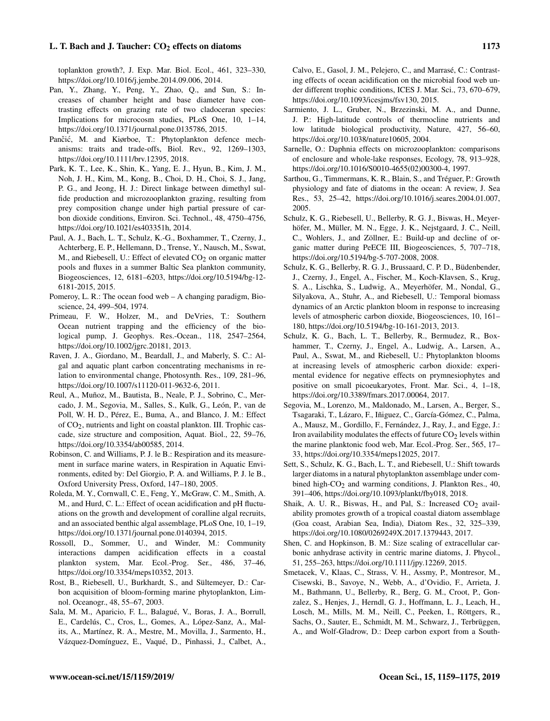toplankton growth?, J. Exp. Mar. Biol. Ecol., 461, 323–330, https://doi.org[/10.1016/j.jembe.2014.09.006,](https://doi.org/10.1016/j.jembe.2014.09.006) 2014.

- Pan, Y., Zhang, Y., Peng, Y., Zhao, Q., and Sun, S.: Increases of chamber height and base diameter have contrasting effects on grazing rate of two cladoceran species: Implications for microcosm studies, PLoS One, 10, 1–14, https://doi.org[/10.1371/journal.pone.0135786,](https://doi.org/10.1371/journal.pone.0135786) 2015.
- Pančić, M. and Kiørboe, T.: Phytoplankton defence mechanisms: traits and trade-offs, Biol. Rev., 92, 1269–1303, https://doi.org[/10.1111/brv.12395,](https://doi.org/10.1111/brv.12395) 2018.
- Park, K. T., Lee, K., Shin, K., Yang, E. J., Hyun, B., Kim, J. M., Noh, J. H., Kim, M., Kong, B., Choi, D. H., Choi, S. J., Jang, P. G., and Jeong, H. J.: Direct linkage between dimethyl sulfide production and microzooplankton grazing, resulting from prey composition change under high partial pressure of carbon dioxide conditions, Environ. Sci. Technol., 48, 4750–4756, https://doi.org[/10.1021/es403351h,](https://doi.org/10.1021/es403351h) 2014.
- Paul, A. J., Bach, L. T., Schulz, K.-G., Boxhammer, T., Czerny, J., Achterberg, E. P., Hellemann, D., Trense, Y., Nausch, M., Sswat, M., and Riebesell, U.: Effect of elevated  $CO<sub>2</sub>$  on organic matter pools and fluxes in a summer Baltic Sea plankton community, Biogeosciences, 12, 6181–6203, https://doi.org[/10.5194/bg-12-](https://doi.org/10.5194/bg-12-6181-2015) [6181-2015,](https://doi.org/10.5194/bg-12-6181-2015) 2015.
- Pomeroy, L. R.: The ocean food web A changing paradigm, Bioscience, 24, 499–504, 1974.
- Primeau, F. W., Holzer, M., and DeVries, T.: Southern Ocean nutrient trapping and the efficiency of the biological pump, J. Geophys. Res.-Ocean., 118, 2547–2564, https://doi.org[/10.1002/jgrc.20181,](https://doi.org/10.1002/jgrc.20181) 2013.
- Raven, J. A., Giordano, M., Beardall, J., and Maberly, S. C.: Algal and aquatic plant carbon concentrating mechanisms in relation to environmental change, Photosynth. Res., 109, 281–96, https://doi.org[/10.1007/s11120-011-9632-6,](https://doi.org/10.1007/s11120-011-9632-6) 2011.
- Reul, A., Muñoz, M., Bautista, B., Neale, P. J., Sobrino, C., Mercado, J. M., Segovia, M., Salles, S., Kulk, G., León, P., van de Poll, W. H. D., Pérez, E., Buma, A., and Blanco, J. M.: Effect of CO2, nutrients and light on coastal plankton. III. Trophic cascade, size structure and composition, Aquat. Biol., 22, 59–76, https://doi.org[/10.3354/ab00585,](https://doi.org/10.3354/ab00585) 2014.
- Robinson, C. and Williams, P. J. le B.: Respiration and its measurement in surface marine waters, in Respiration in Aquatic Environments, edited by: Del Giorgio, P. A. and Williams, P. J. le B., Oxford University Press, Oxford, 147–180, 2005.
- Roleda, M. Y., Cornwall, C. E., Feng, Y., McGraw, C. M., Smith, A. M., and Hurd, C. L.: Effect of ocean acidification and pH fluctuations on the growth and development of coralline algal recruits, and an associated benthic algal assemblage, PLoS One, 10, 1–19, https://doi.org[/10.1371/journal.pone.0140394,](https://doi.org/10.1371/journal.pone.0140394) 2015.
- Rossoll, D., Sommer, U., and Winder, M.: Community interactions dampen acidification effects in a coastal plankton system, Mar. Ecol.-Prog. Ser., 486, 37–46, https://doi.org[/10.3354/meps10352,](https://doi.org/10.3354/meps10352) 2013.
- Rost, B., Riebesell, U., Burkhardt, S., and Sültemeyer, D.: Carbon acquisition of bloom-forming marine phytoplankton, Limnol. Oceanogr., 48, 55–67, 2003.
- Sala, M. M., Aparicio, F. L., Balagué, V., Boras, J. A., Borrull, E., Cardelús, C., Cros, L., Gomes, A., López-Sanz, A., Malits, A., Martínez, R. A., Mestre, M., Movilla, J., Sarmento, H., Vázquez-Domínguez, E., Vaqué, D., Pinhassi, J., Calbet, A.,

Calvo, E., Gasol, J. M., Pelejero, C., and Marrasé, C.: Contrasting effects of ocean acidification on the microbial food web under different trophic conditions, ICES J. Mar. Sci., 73, 670–679, https://doi.org[/10.1093/icesjms/fsv130,](https://doi.org/10.1093/icesjms/fsv130) 2015.

- Sarmiento, J. L., Gruber, N., Brzezinski, M. A., and Dunne, J. P.: High-latitude controls of thermocline nutrients and low latitude biological productivity, Nature, 427, 56–60, https://doi.org[/10.1038/nature10605,](https://doi.org/10.1038/nature10605) 2004.
- Sarnelle, O.: Daphnia effects on microzooplankton: comparisons of enclosure and whole-lake responses, Ecology, 78, 913–928, https://doi.org[/10.1016/S0010-4655\(02\)00300-4,](https://doi.org/10.1016/S0010-4655(02)00300-4) 1997.
- Sarthou, G., Timmermans, K. R., Blain, S., and Tréguer, P.: Growth physiology and fate of diatoms in the ocean: A review, J. Sea Res., 53, 25–42, https://doi.org[/10.1016/j.seares.2004.01.007,](https://doi.org/10.1016/j.seares.2004.01.007) 2005.
- Schulz, K. G., Riebesell, U., Bellerby, R. G. J., Biswas, H., Meyerhöfer, M., Müller, M. N., Egge, J. K., Nejstgaard, J. C., Neill, C., Wohlers, J., and Zöllner, E.: Build-up and decline of organic matter during PeECE III, Biogeosciences, 5, 707–718, https://doi.org[/10.5194/bg-5-707-2008,](https://doi.org/10.5194/bg-5-707-2008) 2008.
- Schulz, K. G., Bellerby, R. G. J., Brussaard, C. P. D., Büdenbender, J., Czerny, J., Engel, A., Fischer, M., Koch-Klavsen, S., Krug, S. A., Lischka, S., Ludwig, A., Meyerhöfer, M., Nondal, G., Silyakova, A., Stuhr, A., and Riebesell, U.: Temporal biomass dynamics of an Arctic plankton bloom in response to increasing levels of atmospheric carbon dioxide, Biogeosciences, 10, 161– 180, https://doi.org[/10.5194/bg-10-161-2013,](https://doi.org/10.5194/bg-10-161-2013) 2013.
- Schulz, K. G., Bach, L. T., Bellerby, R., Bermudez, R., Boxhammer, T., Czerny, J., Engel, A., Ludwig, A., Larsen, A., Paul, A., Sswat, M., and Riebesell, U.: Phytoplankton blooms at increasing levels of atmospheric carbon dioxide: experimental evidence for negative effects on prymnesiophytes and positive on small picoeukaryotes, Front. Mar. Sci., 4, 1–18, https://doi.org[/10.3389/fmars.2017.00064,](https://doi.org/10.3389/fmars.2017.00064) 2017.
- Segovia, M., Lorenzo, M., Maldonado, M., Larsen, A., Berger, S., Tsagaraki, T., Lázaro, F., Iñiguez, C., García-Gómez, C., Palma, A., Mausz, M., Gordillo, F., Fernández, J., Ray, J., and Egge, J.: Iron availability modulates the effects of future  $CO<sub>2</sub>$  levels within the marine planktonic food web, Mar. Ecol.-Prog. Ser., 565, 17– 33, https://doi.org[/10.3354/meps12025,](https://doi.org/10.3354/meps12025) 2017.
- Sett, S., Schulz, K. G., Bach, L. T., and Riebesell, U.: Shift towards larger diatoms in a natural phytoplankton assemblage under combined high- $CO<sub>2</sub>$  and warming conditions, J. Plankton Res., 40, 391–406, https://doi.org[/10.1093/plankt/fby018,](https://doi.org/10.1093/plankt/fby018) 2018.
- Shaik, A. U. R., Biswas, H., and Pal, S.: Increased CO<sub>2</sub> availability promotes growth of a tropical coastal diatom assemblage (Goa coast, Arabian Sea, India), Diatom Res., 32, 325–339, https://doi.org[/10.1080/0269249X.2017.1379443,](https://doi.org/10.1080/0269249X.2017.1379443) 2017.
- Shen, C. and Hopkinson, B. M.: Size scaling of extracellular carbonic anhydrase activity in centric marine diatoms, J. Phycol., 51, 255–263, https://doi.org[/10.1111/jpy.12269,](https://doi.org/10.1111/jpy.12269) 2015.
- Smetacek, V., Klaas, C., Strass, V. H., Assmy, P., Montresor, M., Cisewski, B., Savoye, N., Webb, A., d'Ovidio, F., Arrieta, J. M., Bathmann, U., Bellerby, R., Berg, G. M., Croot, P., Gonzalez, S., Henjes, J., Herndl, G. J., Hoffmann, L. J., Leach, H., Losch, M., Mills, M. M., Neill, C., Peeken, I., Röttgers, R., Sachs, O., Sauter, E., Schmidt, M. M., Schwarz, J., Terbrüggen, A., and Wolf-Gladrow, D.: Deep carbon export from a South-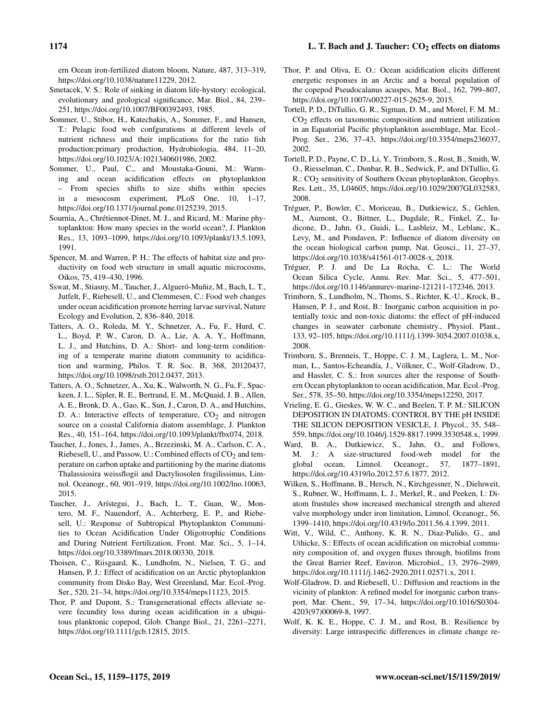ern Ocean iron-fertilized diatom bloom, Nature, 487, 313–319, https://doi.org[/10.1038/nature11229,](https://doi.org/10.1038/nature11229) 2012.

- Smetacek, V. S.: Role of sinking in diatom life-hystory: ecological, evolutionary and geological significance, Mar. Biol., 84, 239– 251, https://doi.org[/10.1007/BF00392493,](https://doi.org/10.1007/BF00392493) 1985.
- Sommer, U., Stibor, H., Katechakis, A., Sommer, F., and Hansen, T.: Pelagic food web confgurations at different levels of nutrient richness and their implications for the ratio fish production:primary production, Hydrobiologia, 484, 11–20, https://doi.org[/10.1023/A:1021340601986,](https://doi.org/10.1023/A:1021340601986) 2002.
- Sommer, U., Paul, C., and Moustaka-Gouni, M.: Warming and ocean acidification effects on phytoplankton – From species shifts to size shifts within species in a mesocosm experiment, PLoS One, 10, 1–17, https://doi.org[/10.1371/journal.pone.0125239,](https://doi.org/10.1371/journal.pone.0125239) 2015.
- Sournia, A., Chrétiennot-Dinet, M. J., and Ricard, M.: Marine phytoplankton: How many species in the world ocean?, J. Plankton Res., 13, 1093–1099, https://doi.org[/10.1093/plankt/13.5.1093,](https://doi.org/10.1093/plankt/13.5.1093) 1991.
- Spencer, M. and Warren, P. H.: The effects of habitat size and productivity on food web structure in small aquatic microcosms, Oikos, 75, 419–430, 1996.
- Sswat, M., Stiasny, M., Taucher, J., Algueró-Muñiz, M., Bach, L. T., Jutfelt, F., Riebesell, U., and Clemmesen, C.: Food web changes under ocean acidification promote herring larvae survival, Nature Ecology and Evolution, 2, 836–840, 2018.
- Tatters, A. O., Roleda, M. Y., Schnetzer, A., Fu, F., Hurd, C. L., Boyd, P. W., Caron, D. A., Lie, A. A. Y., Hoffmann, L. J., and Hutchins, D. A.: Short- and long-term conditioning of a temperate marine diatom community to acidification and warming, Philos. T. R. Soc. B, 368, 20120437, https://doi.org[/10.1098/rstb.2012.0437,](https://doi.org/10.1098/rstb.2012.0437) 2013.
- Tatters, A. O., Schnetzer, A., Xu, K., Walworth, N. G., Fu, F., Spackeen, J. L., Sipler, R. E., Bertrand, E. M., McQuaid, J. B., Allen, A. E., Bronk, D. A., Gao, K., Sun, J., Caron, D. A., and Hutchins, D. A.: Interactive effects of temperature,  $CO<sub>2</sub>$  and nitrogen source on a coastal California diatom assemblage, J. Plankton Res., 40, 151–164, https://doi.org[/10.1093/plankt/fbx074,](https://doi.org/10.1093/plankt/fbx074) 2018.
- Taucher, J., Jones, J., James, A., Brzezinski, M. A., Carlson, C. A., Riebesell, U., and Passow, U.: Combined effects of  $CO<sub>2</sub>$  and temperature on carbon uptake and partitioning by the marine diatoms Thalassiosira weissflogii and Dactyliosolen fragilissimus, Limnol. Oceanogr., 60, 901–919, https://doi.org[/10.1002/lno.10063,](https://doi.org/10.1002/lno.10063) 2015.
- Taucher, J., Arístegui, J., Bach, L. T., Guan, W., Montero, M. F., Nauendorf, A., Achterberg, E. P., and Riebesell, U.: Response of Subtropical Phytoplankton Communities to Ocean Acidification Under Oligotrophic Conditions and During Nutrient Fertilization, Front. Mar. Sci., 5, 1–14, https://doi.org[/10.3389/fmars.2018.00330,](https://doi.org/10.3389/fmars.2018.00330) 2018.
- Thoisen, C., Riisgaard, K., Lundholm, N., Nielsen, T. G., and Hansen, P. J.: Effect of acidification on an Arctic phytoplankton community from Disko Bay, West Greenland, Mar. Ecol.-Prog. Ser., 520, 21–34, https://doi.org[/10.3354/meps11123,](https://doi.org/10.3354/meps11123) 2015.
- Thor, P. and Dupont, S.: Transgenerational effects alleviate severe fecundity loss during ocean acidification in a ubiquitous planktonic copepod, Glob. Change Biol., 21, 2261–2271, https://doi.org[/10.1111/gcb.12815,](https://doi.org/10.1111/gcb.12815) 2015.
- Thor, P. and Oliva, E. O.: Ocean acidification elicits different energetic responses in an Arctic and a boreal population of the copepod Pseudocalanus acuspes, Mar. Biol., 162, 799–807, https://doi.org[/10.1007/s00227-015-2625-9,](https://doi.org/10.1007/s00227-015-2625-9) 2015.
- Tortell, P. D., DiTullio, G. R., Sigman, D. M., and Morel, F. M. M.:  $CO<sub>2</sub>$  effects on taxonomic composition and nutrient utilization in an Equatorial Pacific phytoplankton assemblage, Mar. Ecol.- Prog. Ser., 236, 37–43, https://doi.org[/10.3354/meps236037,](https://doi.org/10.3354/meps236037) 2002.
- Tortell, P. D., Payne, C. D., Li, Y., Trimborn, S., Rost, B., Smith, W. O., Riesselman, C., Dunbar, R. B., Sedwick, P., and DiTullio, G. R.: CO<sub>2</sub> sensitivity of Southern Ocean phytoplankton, Geophys. Res. Lett., 35, L04605, https://doi.org[/10.1029/2007GL032583,](https://doi.org/10.1029/2007GL032583) 2008.
- Tréguer, P., Bowler, C., Moriceau, B., Dutkiewicz, S., Gehlen, M., Aumont, O., Bittner, L., Dugdale, R., Finkel, Z., Iudicone, D., Jahn, O., Guidi, L., Lasbleiz, M., Leblanc, K., Levy, M., and Pondaven, P.: Influence of diatom diversity on the ocean biological carbon pump, Nat. Geosci., 11, 27–37, https://doi.org[/10.1038/s41561-017-0028-x,](https://doi.org/10.1038/s41561-017-0028-x) 2018.
- Tréguer, P. J. and De La Rocha, C. L.: The World Ocean Silica Cycle, Annu. Rev. Mar. Sci., 5, 477–501, https://doi.org[/10.1146/annurev-marine-121211-172346,](https://doi.org/10.1146/annurev-marine-121211-172346) 2013.
- Trimborn, S., Lundholm, N., Thoms, S., Richter, K.-U., Krock, B., Hansen, P. J., and Rost, B.: Inorganic carbon acquisition in potentially toxic and non-toxic diatoms: the effect of pH-induced changes in seawater carbonate chemistry., Physiol. Plant., 133, 92–105, https://doi.org[/10.1111/j.1399-3054.2007.01038.x,](https://doi.org/10.1111/j.1399-3054.2007.01038.x) 2008.
- Trimborn, S., Brenneis, T., Hoppe, C. J. M., Laglera, L. M., Norman, L., Santos-Echeandía, J., Völkner, C., Wolf-Gladrow, D., and Hassler, C. S.: Iron sources alter the response of Southern Ocean phytoplankton to ocean acidification, Mar. Ecol.-Prog. Ser., 578, 35–50, https://doi.org[/10.3354/meps12250,](https://doi.org/10.3354/meps12250) 2017.
- Vrieling, E. G., Gieskes, W. W. C., and Beelen, T. P. M.: SILICON DEPOSITION IN DIATOMS: CONTROL BY THE pH INSIDE THE SILICON DEPOSITION VESICLE, J. Phycol., 35, 548– 559, https://doi.org[/10.1046/j.1529-8817.1999.3530548.x,](https://doi.org/10.1046/j.1529-8817.1999.3530548.x) 1999.
- Ward, B. A., Dutkiewicz, S., Jahn, O., and Follows, M. J.: A size-structured food-web model for the global ocean, Limnol. Oceanogr., 57, 1877–1891, https://doi.org[/10.4319/lo.2012.57.6.1877,](https://doi.org/10.4319/lo.2012.57.6.1877) 2012.
- Wilken, S., Hoffmann, B., Hersch, N., Kirchgessner, N., Dieluweit, S., Rubner, W., Hoffmann, L. J., Merkel, R., and Peeken, I.: Diatom frustules show increased mechanical strength and altered valve morphology under iron limitation, Limnol. Oceanogr., 56, 1399–1410, https://doi.org[/10.4319/lo.2011.56.4.1399,](https://doi.org/10.4319/lo.2011.56.4.1399) 2011.
- Witt, V., Wild, C., Anthony, K. R. N., Diaz-Pulido, G., and Uthicke, S.: Effects of ocean acidification on microbial community composition of, and oxygen fluxes through, biofilms from the Great Barrier Reef, Environ. Microbiol., 13, 2976–2989, https://doi.org[/10.1111/j.1462-2920.2011.02571.x,](https://doi.org/10.1111/j.1462-2920.2011.02571.x) 2011.
- Wolf-Gladrow, D. and Riebesell, U.: Diffusion and reactions in the vicinity of plankton: A refined model for inorganic carbon transport, Mar. Chem., 59, 17–34, https://doi.org[/10.1016/S0304-](https://doi.org/10.1016/S0304-4203(97)00069-8) [4203\(97\)00069-8,](https://doi.org/10.1016/S0304-4203(97)00069-8) 1997.
- Wolf, K. K. E., Hoppe, C. J. M., and Rost, B.: Resilience by diversity: Large intraspecific differences in climate change re-